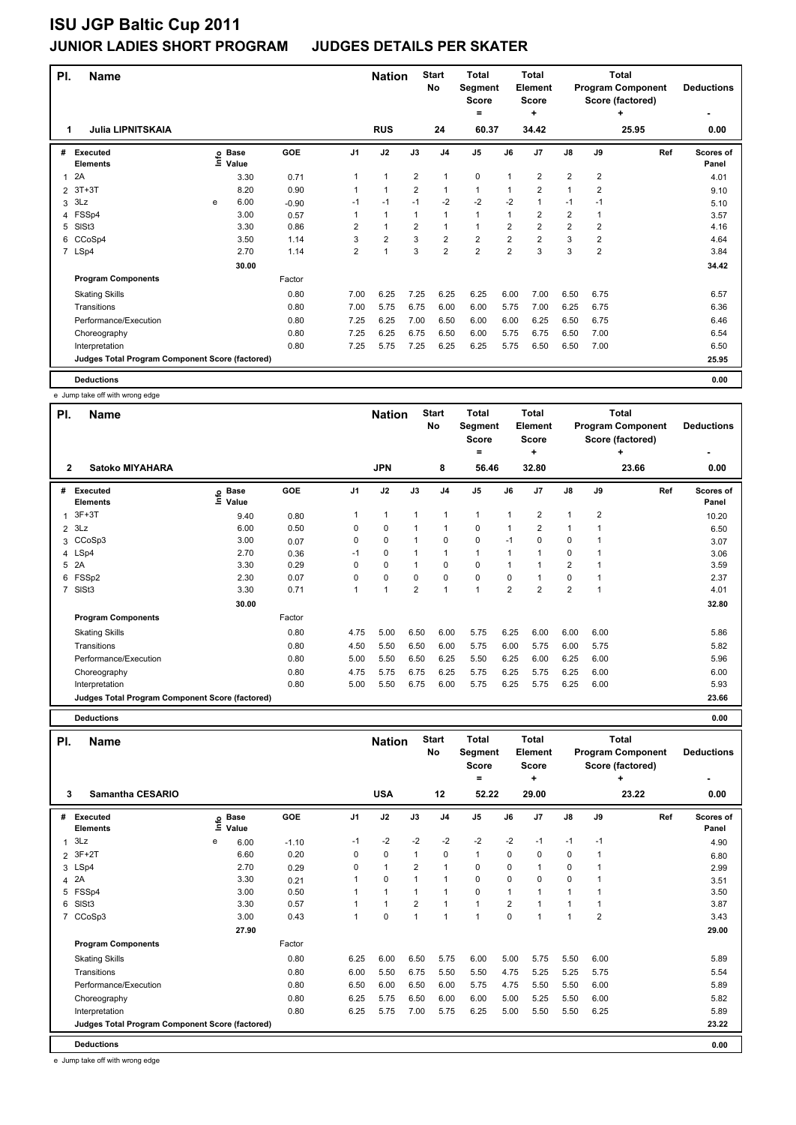| PI.            | <b>Name</b>                                     |   |                                  |         |                | <b>Nation</b>  |                | <b>Start</b><br>No      | <b>Total</b><br>Segment<br><b>Score</b><br>= |                | Total<br><b>Element</b><br><b>Score</b><br>÷ |                         | Total<br><b>Program Component</b><br>Score (factored) | <b>Deductions</b> |                    |
|----------------|-------------------------------------------------|---|----------------------------------|---------|----------------|----------------|----------------|-------------------------|----------------------------------------------|----------------|----------------------------------------------|-------------------------|-------------------------------------------------------|-------------------|--------------------|
| 1              | <b>Julia LIPNITSKAIA</b>                        |   |                                  |         |                | <b>RUS</b>     |                | 24                      | 60.37                                        |                | 34.42                                        |                         |                                                       | 25.95             | 0.00               |
| #              | Executed<br><b>Elements</b>                     |   | <b>Base</b><br>e Base<br>⊆ Value | GOE     | J <sub>1</sub> | J2             | J3             | J <sub>4</sub>          | J <sub>5</sub>                               | J6             | J <sub>7</sub>                               | $\mathsf{J}8$           | J9                                                    | Ref               | Scores of<br>Panel |
| 1              | 2A                                              |   | 3.30                             | 0.71    |                | 1              | $\overline{2}$ | $\mathbf{1}$            | 0                                            | 1              | 2                                            | $\overline{2}$          | 2                                                     |                   | 4.01               |
| $\overline{2}$ | $3T+3T$                                         |   | 8.20                             | 0.90    |                | 1              | $\overline{2}$ | $\mathbf{1}$            | $\mathbf{1}$                                 | 1              | $\overline{2}$                               | 1                       | $\overline{2}$                                        |                   | 9.10               |
| 3              | 3Lz                                             | e | 6.00                             | $-0.90$ | $-1$           | $-1$           | $-1$           | $-2$                    | $-2$                                         | $-2$           | 1                                            | $-1$                    | $-1$                                                  |                   | 5.10               |
| 4              | FSSp4                                           |   | 3.00                             | 0.57    |                | $\mathbf{1}$   | $\mathbf{1}$   | $\mathbf{1}$            | $\mathbf{1}$                                 | 1              | $\overline{2}$                               | $\overline{\mathbf{c}}$ | 1                                                     |                   | 3.57               |
| 5              | SISt <sub>3</sub>                               |   | 3.30                             | 0.86    | $\overline{2}$ | $\overline{1}$ | $\overline{2}$ | $\mathbf{1}$            | $\mathbf{1}$                                 | $\overline{2}$ | $\overline{\mathbf{c}}$                      | $\overline{2}$          | 2                                                     |                   | 4.16               |
| 6              | CCoSp4                                          |   | 3.50                             | 1.14    | 3              | $\overline{2}$ | 3              | $\overline{\mathbf{c}}$ | $\overline{2}$                               | $\overline{2}$ | $\overline{2}$                               | 3                       | $\overline{2}$                                        |                   | 4.64               |
|                | 7 LSp4                                          |   | 2.70                             | 1.14    | $\overline{2}$ | 1              | 3              | $\overline{2}$          | $\overline{2}$                               | $\overline{2}$ | 3                                            | 3                       | $\overline{2}$                                        |                   | 3.84               |
|                |                                                 |   | 30.00                            |         |                |                |                |                         |                                              |                |                                              |                         |                                                       |                   | 34.42              |
|                | <b>Program Components</b>                       |   |                                  | Factor  |                |                |                |                         |                                              |                |                                              |                         |                                                       |                   |                    |
|                | <b>Skating Skills</b>                           |   |                                  | 0.80    | 7.00           | 6.25           | 7.25           | 6.25                    | 6.25                                         | 6.00           | 7.00                                         | 6.50                    | 6.75                                                  |                   | 6.57               |
|                | Transitions                                     |   |                                  | 0.80    | 7.00           | 5.75           | 6.75           | 6.00                    | 6.00                                         | 5.75           | 7.00                                         | 6.25                    | 6.75                                                  |                   | 6.36               |
|                | Performance/Execution                           |   |                                  | 0.80    | 7.25           | 6.25           | 7.00           | 6.50                    | 6.00                                         | 6.00           | 6.25                                         | 6.50                    | 6.75                                                  |                   | 6.46               |
|                | Choreography                                    |   |                                  | 0.80    | 7.25           | 6.25           | 6.75           | 6.50                    | 6.00                                         | 5.75           | 6.75                                         | 6.50                    | 7.00                                                  |                   | 6.54               |
|                | Interpretation                                  |   |                                  | 0.80    | 7.25           | 5.75           | 7.25           | 6.25                    | 6.25                                         | 5.75           | 6.50                                         | 6.50                    | 7.00                                                  |                   | 6.50               |
|                | Judges Total Program Component Score (factored) |   |                                  |         |                |                |                |                         |                                              |                |                                              |                         |                                                       |                   | 25.95              |
|                | <b>Deductions</b>                               |   |                                  |         |                |                |                |                         |                                              |                |                                              |                         |                                                       |                   | 0.00               |

|                | e Jump take off with wrong edge                 |                                               |            |                |                |                |                    |                                       |                |                                       |                |             |                                                            |                    |
|----------------|-------------------------------------------------|-----------------------------------------------|------------|----------------|----------------|----------------|--------------------|---------------------------------------|----------------|---------------------------------------|----------------|-------------|------------------------------------------------------------|--------------------|
| PI.            | <b>Name</b>                                     |                                               |            |                | <b>Nation</b>  |                | <b>Start</b><br>No | <b>Total</b><br>Segment<br>Score<br>۰ |                | Total<br>Element<br><b>Score</b><br>٠ |                |             | Total<br><b>Program Component</b><br>Score (factored)<br>٠ | <b>Deductions</b>  |
| $\overline{2}$ | Satoko MIYAHARA                                 |                                               |            |                | <b>JPN</b>     |                | 8                  | 56.46                                 |                | 32.80                                 |                |             | 23.66                                                      | 0.00               |
| #              | <b>Executed</b><br><b>Elements</b>              | <b>Base</b><br>$\mathop{\text{inf}}$<br>Value | <b>GOE</b> | J <sub>1</sub> | J2             | J3             | J <sub>4</sub>     | J <sub>5</sub>                        | J6             | J7                                    | $\mathsf{J}8$  | J9          | Ref                                                        | Scores of<br>Panel |
| 1              | $3F+3T$                                         | 9.40                                          | 0.80       | 1              | $\overline{1}$ | 1              | 1                  | $\mathbf{1}$                          | 1              | 2                                     | $\mathbf{1}$   | 2           |                                                            | 10.20              |
| $\overline{2}$ | 3Lz                                             | 6.00                                          | 0.50       | 0              | $\mathbf 0$    |                | 1                  | $\mathbf 0$                           | $\mathbf{1}$   | $\overline{2}$                        | $\mathbf{1}$   |             |                                                            | 6.50               |
| 3              | CCoSp3                                          | 3.00                                          | 0.07       | 0              | $\mathbf 0$    |                | $\mathbf 0$        | $\mathbf 0$                           | $-1$           | 0                                     | 0              |             |                                                            | 3.07               |
|                | 4 LSp4                                          | 2.70                                          | 0.36       | $-1$           | 0              |                | 1                  | $\mathbf{1}$                          | -1             |                                       | 0              |             |                                                            | 3.06               |
| 5              | 2A                                              | 3.30                                          | 0.29       | 0              | 0              | 1              | 0                  | 0                                     | 1              |                                       | $\overline{2}$ |             |                                                            | 3.59               |
| 6              | FSSp2                                           | 2.30                                          | 0.07       | 0              | $\mathbf 0$    | $\Omega$       | $\mathbf 0$        | $\mathbf 0$                           | $\Omega$       | 1                                     | 0              |             |                                                            | 2.37               |
| $\overline{7}$ | SISt3                                           | 3.30                                          | 0.71       | 1              | $\overline{1}$ | $\overline{2}$ | $\overline{1}$     | $\overline{1}$                        | $\overline{2}$ | $\overline{2}$                        | $\overline{2}$ | $\mathbf 1$ |                                                            | 4.01               |
|                |                                                 | 30.00                                         |            |                |                |                |                    |                                       |                |                                       |                |             |                                                            | 32.80              |
|                | <b>Program Components</b>                       |                                               | Factor     |                |                |                |                    |                                       |                |                                       |                |             |                                                            |                    |
|                | <b>Skating Skills</b>                           |                                               | 0.80       | 4.75           | 5.00           | 6.50           | 6.00               | 5.75                                  | 6.25           | 6.00                                  | 6.00           | 6.00        |                                                            | 5.86               |
|                | Transitions                                     |                                               | 0.80       | 4.50           | 5.50           | 6.50           | 6.00               | 5.75                                  | 6.00           | 5.75                                  | 6.00           | 5.75        |                                                            | 5.82               |
|                | Performance/Execution                           |                                               | 0.80       | 5.00           | 5.50           | 6.50           | 6.25               | 5.50                                  | 6.25           | 6.00                                  | 6.25           | 6.00        |                                                            | 5.96               |
|                | Choreography                                    |                                               | 0.80       | 4.75           | 5.75           | 6.75           | 6.25               | 5.75                                  | 6.25           | 5.75                                  | 6.25           | 6.00        |                                                            | 6.00               |
|                | Interpretation                                  |                                               | 0.80       | 5.00           | 5.50           | 6.75           | 6.00               | 5.75                                  | 6.25           | 5.75                                  | 6.25           | 6.00        |                                                            | 5.93               |
|                | Judges Total Program Component Score (factored) |                                               |            |                |                |                |                    |                                       |                |                                       |                |             |                                                            | 23.66              |

**Deductions 0.00**

| PI.            | <b>Name</b>                                     |   |                            |            |                | <b>Nation</b> |                | <b>Start</b><br>No | <b>Total</b><br>Segment<br><b>Score</b><br>Ξ. |                | <b>Total</b><br>Element<br><b>Score</b><br>٠ |             |                | <b>Total</b><br><b>Program Component</b><br>Score (factored)<br>٠ | <b>Deductions</b>  |
|----------------|-------------------------------------------------|---|----------------------------|------------|----------------|---------------|----------------|--------------------|-----------------------------------------------|----------------|----------------------------------------------|-------------|----------------|-------------------------------------------------------------------|--------------------|
| 3              | Samantha CESARIO                                |   |                            |            |                | <b>USA</b>    |                | 12                 | 52.22                                         |                | 29.00                                        |             |                | 23.22                                                             | 0.00               |
| #              | Executed<br><b>Elements</b>                     |   | e Base<br>E Value<br>Value | <b>GOE</b> | J <sub>1</sub> | J2            | J3             | J <sub>4</sub>     | J <sub>5</sub>                                | J6             | J <sub>7</sub>                               | J8          | J9             | Ref                                                               | Scores of<br>Panel |
| 1              | 3Lz                                             | e | 6.00                       | $-1.10$    | $-1$           | $-2$          | $-2$           | $-2$               | $-2$                                          | $-2$           | $-1$                                         | $-1$        | $-1$           |                                                                   | 4.90               |
| $\overline{2}$ | $3F+2T$                                         |   | 6.60                       | 0.20       | 0              | $\mathbf 0$   | $\mathbf{1}$   | $\mathbf 0$        | $\mathbf{1}$                                  | $\Omega$       | 0                                            | $\mathbf 0$ |                |                                                                   | 6.80               |
|                | 3 LSp4                                          |   | 2.70                       | 0.29       | 0              | $\mathbf{1}$  | $\overline{2}$ | $\mathbf{1}$       | $\mathbf 0$                                   | $\mathbf 0$    |                                              | $\pmb{0}$   |                |                                                                   | 2.99               |
| 4              | 2A                                              |   | 3.30                       | 0.21       | 1              | $\mathbf 0$   | 1              | $\mathbf{1}$       | $\mathbf 0$                                   | $\mathbf 0$    | 0                                            | $\mathbf 0$ |                |                                                                   | 3.51               |
| 5              | FSSp4                                           |   | 3.00                       | 0.50       | 1              | $\mathbf{1}$  | $\mathbf{1}$   | 1                  | 0                                             | 1              |                                              |             |                |                                                                   | 3.50               |
| 6              | SIS <sub>t3</sub>                               |   | 3.30                       | 0.57       | 1              | 1             | $\overline{2}$ | 1                  | $\mathbf{1}$                                  | $\overline{2}$ |                                              |             |                |                                                                   | 3.87               |
| 7              | CCoSp3                                          |   | 3.00                       | 0.43       | 1              | 0             | $\mathbf{1}$   | 1                  | $\overline{1}$                                | $\mathbf 0$    |                                              | 1           | $\overline{2}$ |                                                                   | 3.43               |
|                |                                                 |   | 27.90                      |            |                |               |                |                    |                                               |                |                                              |             |                |                                                                   | 29.00              |
|                | <b>Program Components</b>                       |   |                            | Factor     |                |               |                |                    |                                               |                |                                              |             |                |                                                                   |                    |
|                | <b>Skating Skills</b>                           |   |                            | 0.80       | 6.25           | 6.00          | 6.50           | 5.75               | 6.00                                          | 5.00           | 5.75                                         | 5.50        | 6.00           |                                                                   | 5.89               |
|                | Transitions                                     |   |                            | 0.80       | 6.00           | 5.50          | 6.75           | 5.50               | 5.50                                          | 4.75           | 5.25                                         | 5.25        | 5.75           |                                                                   | 5.54               |
|                | Performance/Execution                           |   |                            | 0.80       | 6.50           | 6.00          | 6.50           | 6.00               | 5.75                                          | 4.75           | 5.50                                         | 5.50        | 6.00           |                                                                   | 5.89               |
|                | Choreography                                    |   |                            | 0.80       | 6.25           | 5.75          | 6.50           | 6.00               | 6.00                                          | 5.00           | 5.25                                         | 5.50        | 6.00           |                                                                   | 5.82               |
|                | Interpretation                                  |   |                            | 0.80       | 6.25           | 5.75          | 7.00           | 5.75               | 6.25                                          | 5.00           | 5.50                                         | 5.50        | 6.25           |                                                                   | 5.89               |
|                | Judges Total Program Component Score (factored) |   |                            |            |                |               |                |                    |                                               |                |                                              |             |                |                                                                   | 23.22              |
|                | <b>Deductions</b>                               |   |                            |            |                |               |                |                    |                                               |                |                                              |             |                |                                                                   | 0.00               |

e Jump take off with wrong edge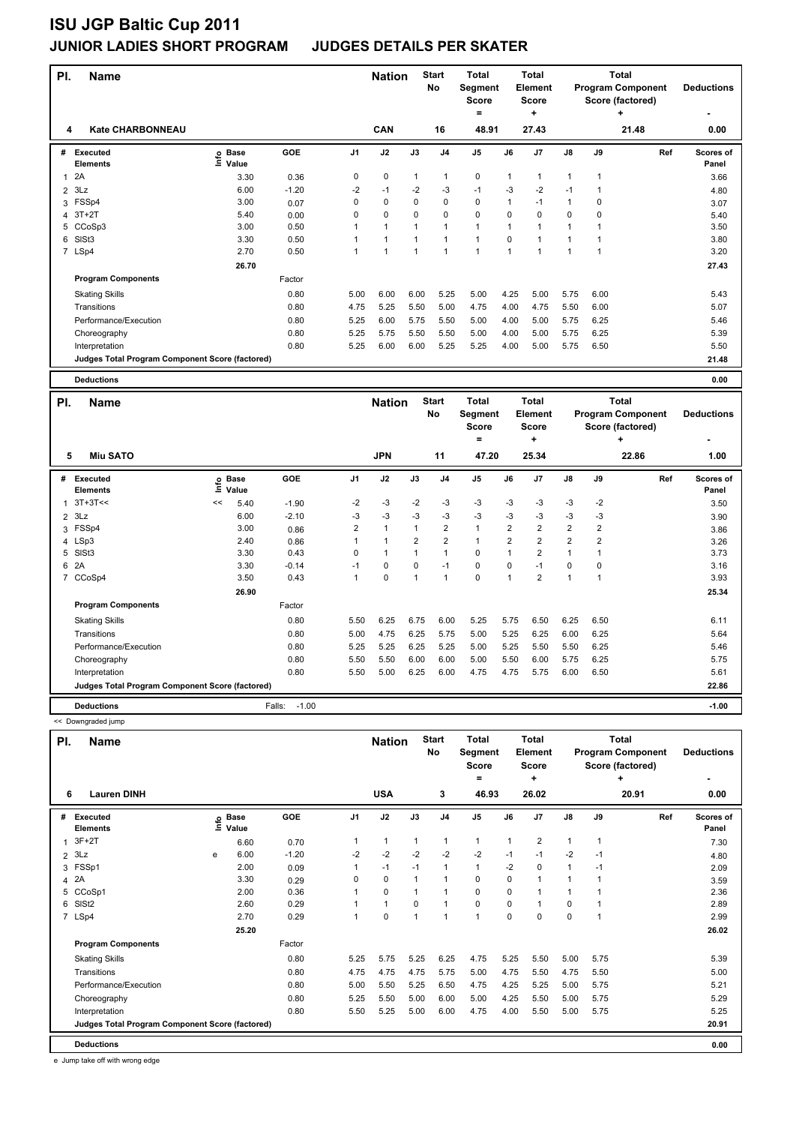| PI.            | Name                                            |                            |            |                | <b>Nation</b> |              | <b>Start</b>   | <b>Total</b>            |                | <b>Total</b>                   |                |                | <b>Total</b>                                 |     |                    |
|----------------|-------------------------------------------------|----------------------------|------------|----------------|---------------|--------------|----------------|-------------------------|----------------|--------------------------------|----------------|----------------|----------------------------------------------|-----|--------------------|
|                |                                                 |                            |            |                |               |              | No             | Segment<br><b>Score</b> |                | <b>Element</b><br><b>Score</b> |                |                | <b>Program Component</b><br>Score (factored) |     | <b>Deductions</b>  |
|                |                                                 |                            |            |                |               |              |                | $\equiv$                |                | +                              |                |                | ٠                                            |     |                    |
| 4              | Kate CHARBONNEAU                                |                            |            |                | CAN           |              | 16             | 48.91                   |                | 27.43                          |                |                | 21.48                                        |     | 0.00               |
| #              | <b>Executed</b><br>Elements                     | e Base<br>⊆ Value          | GOE        | J <sub>1</sub> | J2            | J3           | J <sub>4</sub> | J5                      | J6             | J7                             | J8             | J9             |                                              | Ref | Scores of<br>Panel |
| $\mathbf{1}$   | 2A                                              | 3.30                       | 0.36       | 0              | 0             | 1            | 1              | 0                       | $\mathbf{1}$   | $\mathbf{1}$                   | $\mathbf{1}$   | $\mathbf{1}$   |                                              |     | 3.66               |
| $\overline{2}$ | 3Lz                                             | 6.00                       | $-1.20$    | $-2$           | $-1$          | $-2$         | $-3$           | $-1$                    | -3             | $-2$                           | $-1$           | $\mathbf{1}$   |                                              |     | 4.80               |
| 3              | FSSp4                                           | 3.00                       | 0.07       | $\mathbf 0$    | 0             | 0            | 0              | $\mathbf 0$             | $\mathbf{1}$   | $-1$                           | $\mathbf{1}$   | $\mathbf 0$    |                                              |     | 3.07               |
|                | 4 3T+2T                                         | 5.40                       | 0.00       | $\mathbf 0$    | $\mathbf 0$   | 0            | 0              | $\mathbf 0$             | 0              | 0                              | $\mathbf 0$    | $\mathbf 0$    |                                              |     | 5.40               |
| 5              | CCoSp3                                          | 3.00                       | 0.50       | $\mathbf{1}$   | 1             | 1            | $\mathbf{1}$   | $\mathbf{1}$            | $\mathbf{1}$   | $\mathbf{1}$                   | $\mathbf{1}$   | $\mathbf{1}$   |                                              |     | 3.50               |
| 6              | SISt <sub>3</sub>                               | 3.30                       | 0.50       | 1              | 1             | 1            | $\mathbf{1}$   | $\mathbf{1}$            | 0              | $\mathbf{1}$                   | $\mathbf{1}$   | $\mathbf{1}$   |                                              |     | 3.80               |
|                | 7 LSp4                                          | 2.70                       | 0.50       | $\mathbf{1}$   | 1             | $\mathbf{1}$ | 1              | $\mathbf{1}$            | $\mathbf{1}$   | $\mathbf{1}$                   | $\mathbf{1}$   | $\mathbf{1}$   |                                              |     | 3.20               |
|                |                                                 | 26.70                      |            |                |               |              |                |                         |                |                                |                |                |                                              |     | 27.43              |
|                | <b>Program Components</b>                       |                            | Factor     |                |               |              |                |                         |                |                                |                |                |                                              |     |                    |
|                | <b>Skating Skills</b>                           |                            | 0.80       | 5.00           | 6.00          | 6.00         | 5.25           | 5.00                    | 4.25           | 5.00                           | 5.75           | 6.00           |                                              |     | 5.43               |
|                | Transitions                                     |                            | 0.80       | 4.75           | 5.25          | 5.50         | 5.00           | 4.75                    | 4.00           | 4.75                           | 5.50           | 6.00           |                                              |     | 5.07               |
|                | Performance/Execution                           |                            | 0.80       | 5.25           | 6.00          | 5.75         | 5.50           | 5.00                    | 4.00           | 5.00                           | 5.75           | 6.25           |                                              |     | 5.46               |
|                | Choreography                                    |                            | 0.80       | 5.25           | 5.75          | 5.50         | 5.50           | 5.00                    | 4.00           | 5.00                           | 5.75           | 6.25           |                                              |     | 5.39               |
|                | Interpretation                                  |                            | 0.80       | 5.25           | 6.00          | 6.00         | 5.25           | 5.25                    | 4.00           | 5.00                           | 5.75           | 6.50           |                                              |     | 5.50               |
|                | Judges Total Program Component Score (factored) |                            |            |                |               |              |                |                         |                |                                |                |                |                                              |     | 21.48              |
|                |                                                 |                            |            |                |               |              |                |                         |                |                                |                |                |                                              |     |                    |
|                | <b>Deductions</b>                               |                            |            |                |               |              |                |                         |                |                                |                |                |                                              |     | 0.00               |
|                |                                                 |                            |            |                |               |              |                |                         |                |                                |                |                |                                              |     |                    |
| PI.            | <b>Name</b>                                     |                            |            |                | <b>Nation</b> |              | <b>Start</b>   | <b>Total</b>            |                | <b>Total</b>                   |                |                | <b>Total</b>                                 |     |                    |
|                |                                                 |                            |            |                |               |              | No             | Segment                 |                | <b>Element</b>                 |                |                | <b>Program Component</b>                     |     | <b>Deductions</b>  |
|                |                                                 |                            |            |                |               |              |                | <b>Score</b>            |                | <b>Score</b>                   |                |                | Score (factored)                             |     |                    |
|                |                                                 |                            |            |                |               |              |                | =                       |                | ٠                              |                |                | ٠                                            |     |                    |
| 5              | <b>Miu SATO</b>                                 |                            |            |                | <b>JPN</b>    |              | 11             | 47.20                   |                | 25.34                          |                |                | 22.86                                        |     | 1.00               |
| #              | Executed<br><b>Elements</b>                     | <b>Base</b><br>۴ů<br>Value | <b>GOE</b> | J <sub>1</sub> | J2            | J3           | J <sub>4</sub> | J5                      | J6             | J7                             | J8             | J9             |                                              | Ref | Scores of<br>Panel |
| $\mathbf{1}$   | $3T+3T<<$                                       | 5.40<br><<                 | $-1.90$    | $-2$           | $-3$          | $-2$         | -3             | -3                      | -3             | -3                             | -3             | $-2$           |                                              |     | 3.50               |
| 2              | 3Lz                                             | 6.00                       | $-2.10$    | -3             | $-3$          | $-3$         | $-3$           | $-3$                    | -3             | -3                             | $-3$           | $-3$           |                                              |     | 3.90               |
| 3              | FSSp4                                           | 3.00                       | 0.86       | $\overline{2}$ | $\mathbf{1}$  | 1            | $\overline{2}$ | $\mathbf{1}$            | $\overline{2}$ | $\overline{2}$                 | $\overline{2}$ | $\overline{2}$ |                                              |     | 3.86               |
| 4              | LSp3                                            | 2.40                       | 0.86       | $\mathbf{1}$   | $\mathbf{1}$  | 2            | $\overline{2}$ | $\mathbf{1}$            | $\overline{2}$ | $\overline{2}$                 | $\overline{2}$ | $\overline{2}$ |                                              |     | 3.26               |
|                | 5 SISt3                                         | 3.30                       | 0.43       | 0              | $\mathbf{1}$  | 1            | $\mathbf{1}$   | $\mathbf 0$             | $\mathbf{1}$   | $\overline{2}$                 | $\mathbf{1}$   | $\mathbf{1}$   |                                              |     | 3.73               |
|                | 6 2A                                            | 3.30                       | $-0.14$    | $-1$           | 0             | 0            | $-1$           | 0                       | 0              | $-1$                           | 0              | 0              |                                              |     | 3.16               |
|                | 7 CCoSp4                                        | 3.50                       | 0.43       | $\mathbf{1}$   | 0             | 1            | $\mathbf{1}$   | $\mathbf 0$             | $\mathbf{1}$   | $\overline{2}$                 | $\mathbf{1}$   | $\mathbf{1}$   |                                              |     | 3.93               |
|                |                                                 | 26.90                      |            |                |               |              |                |                         |                |                                |                |                |                                              |     | 25.34              |
|                | <b>Program Components</b>                       |                            | Factor     |                |               |              |                |                         |                |                                |                |                |                                              |     |                    |
|                | <b>Skating Skills</b>                           |                            | 0.80       | 5.50           | 6.25          | 6.75         | 6.00           | 5.25                    | 5.75           | 6.50                           | 6.25           | 6.50           |                                              |     | 6.11               |
|                | Transitions                                     |                            | 0.80       | 5.00           | 4.75          | 6.25         | 5.75           | 5.00                    | 5.25           | 6.25                           | 6.00           | 6.25           |                                              |     | 5.64               |
|                | Performance/Execution                           |                            | 0.80       | 5.25           | 5.25          | 6.25         | 5.25           | 5.00                    | 5.25           | 5.50                           | 5.50           | 6.25           |                                              |     | 5.46               |
|                | Choreography                                    |                            | 0.80       | 5.50           | 5.50          | 6.00         | 6.00           | 5.00                    | 5.50           | 6.00                           | 5.75           | 6.25           |                                              |     | 5.75               |
|                | Interpretation                                  |                            | 0.80       | 5.50           | 5.00          | 6.25         | 6.00           | 4.75                    | 4.75           | 5.75                           | 6.00           | 6.50           |                                              |     | 5.61               |

**Deductions** Falls: -1.00 **-1.00** << Downgraded jump **Name Nation Total Pl. Start Segment Score = No**

|   |                                                 |      |                      |            |                |            |          |                | $=$            |      | ÷              |               |      | ÷     |     |                           |
|---|-------------------------------------------------|------|----------------------|------------|----------------|------------|----------|----------------|----------------|------|----------------|---------------|------|-------|-----|---------------------------|
| 6 | <b>Lauren DINH</b>                              |      |                      |            |                | <b>USA</b> |          | 3              | 46.93          |      | 26.02          |               |      | 20.91 |     | 0.00                      |
| # | <b>Executed</b><br><b>Elements</b>              | lnfo | <b>Base</b><br>Value | <b>GOE</b> | J <sub>1</sub> | J2         | J3       | J <sub>4</sub> | J <sub>5</sub> | J6   | J7             | $\mathsf{J}8$ | J9   |       | Ref | <b>Scores of</b><br>Panel |
|   | $1.3F+2T$                                       |      | 6.60                 | 0.70       |                | 1          |          | 1              | 1              | 1    | $\overline{2}$ | 1             |      |       |     | 7.30                      |
|   | $2$ $3Lz$                                       | e    | 6.00                 | $-1.20$    | $-2$           | $-2$       | $-2$     | $-2$           | $-2$           | $-1$ | $-1$           | $-2$          | $-1$ |       |     | 4.80                      |
|   | 3 FSSp1                                         |      | 2.00                 | 0.09       |                | $-1$       | $-1$     | 1              | $\mathbf{1}$   | $-2$ | $\Omega$       | 1             | $-1$ |       |     | 2.09                      |
|   | 4 2A                                            |      | 3.30                 | 0.29       | 0              | 0          |          | $\overline{1}$ | 0              | 0    |                | 1             |      |       |     | 3.59                      |
|   | 5 CCoSp1                                        |      | 2.00                 | 0.36       |                | 0          |          | 1              | 0              | 0    |                | 1             |      |       |     | 2.36                      |
|   | 6 SISt2                                         |      | 2.60                 | 0.29       |                | 1          | $\Omega$ | $\overline{1}$ | 0              | 0    |                | 0             |      |       |     | 2.89                      |
|   | 7 LSp4                                          |      | 2.70                 | 0.29       |                | $\Omega$   |          | 1              | 1              | 0    | 0              | $\Omega$      |      |       |     | 2.99                      |
|   |                                                 |      | 25.20                |            |                |            |          |                |                |      |                |               |      |       |     | 26.02                     |
|   | <b>Program Components</b>                       |      |                      | Factor     |                |            |          |                |                |      |                |               |      |       |     |                           |
|   | <b>Skating Skills</b>                           |      |                      | 0.80       | 5.25           | 5.75       | 5.25     | 6.25           | 4.75           | 5.25 | 5.50           | 5.00          | 5.75 |       |     | 5.39                      |
|   | Transitions                                     |      |                      | 0.80       | 4.75           | 4.75       | 4.75     | 5.75           | 5.00           | 4.75 | 5.50           | 4.75          | 5.50 |       |     | 5.00                      |
|   | Performance/Execution                           |      |                      | 0.80       | 5.00           | 5.50       | 5.25     | 6.50           | 4.75           | 4.25 | 5.25           | 5.00          | 5.75 |       |     | 5.21                      |
|   | Choreography                                    |      |                      | 0.80       | 5.25           | 5.50       | 5.00     | 6.00           | 5.00           | 4.25 | 5.50           | 5.00          | 5.75 |       |     | 5.29                      |
|   | Interpretation                                  |      |                      | 0.80       | 5.50           | 5.25       | 5.00     | 6.00           | 4.75           | 4.00 | 5.50           | 5.00          | 5.75 |       |     | 5.25                      |
|   | Judges Total Program Component Score (factored) |      |                      |            |                |            |          |                |                |      |                |               |      |       |     | 20.91                     |
|   | <b>Deductions</b>                               |      |                      |            |                |            |          |                |                |      |                |               |      |       |     | 0.00                      |

**Total Element Score**

**Total Program Component Score (factored)**

**Deductions**

e Jump take off with wrong edge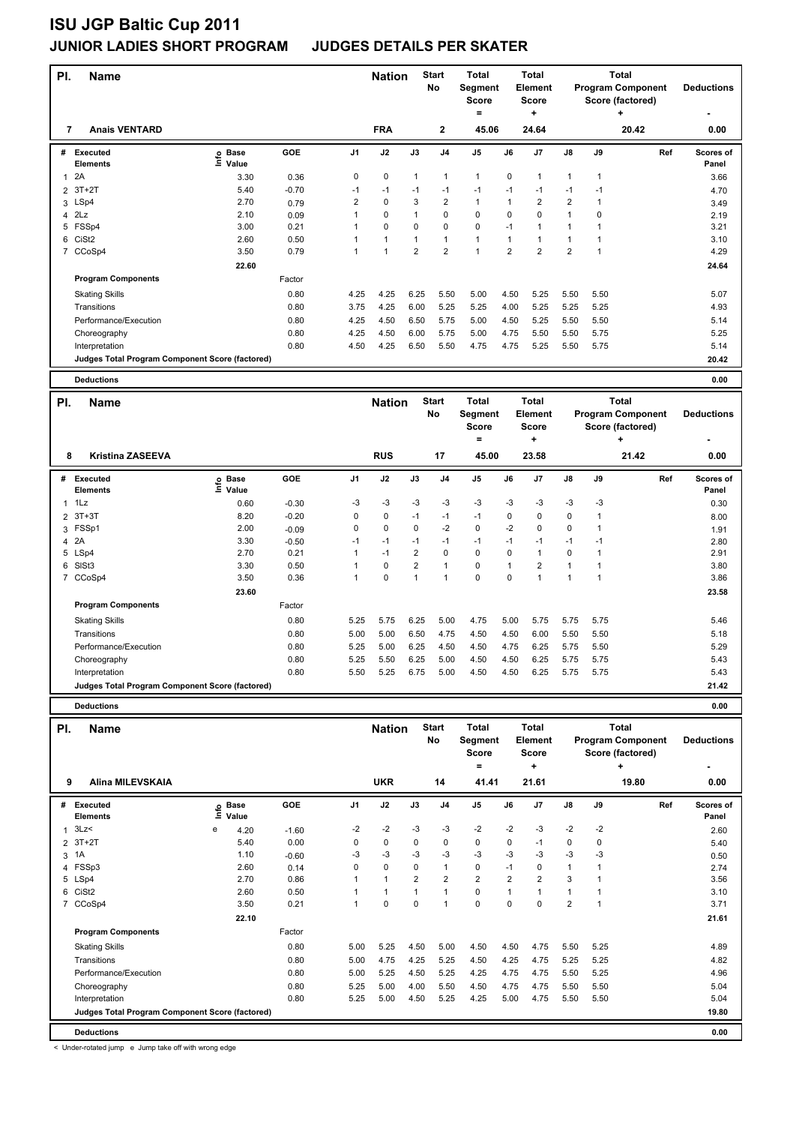| PI.            | <b>Name</b>                                     |                              |            |                | <b>Nation</b> |                | <b>Start</b><br>No | <b>Total</b><br>Segment<br><b>Score</b><br>$=$ |                | <b>Total</b><br><b>Element</b><br><b>Score</b><br>÷ |                |              | <b>Total</b><br><b>Program Component</b><br>Score (factored)<br>÷         | <b>Deductions</b>  |
|----------------|-------------------------------------------------|------------------------------|------------|----------------|---------------|----------------|--------------------|------------------------------------------------|----------------|-----------------------------------------------------|----------------|--------------|---------------------------------------------------------------------------|--------------------|
| 7              | <b>Anais VENTARD</b>                            |                              |            |                | <b>FRA</b>    |                | 2                  | 45.06                                          |                | 24.64                                               |                |              | 20.42                                                                     | 0.00               |
| #              | Executed<br>Elements                            | e Base<br>⊆ Value<br>Value   | <b>GOE</b> | J <sub>1</sub> | J2            | J3             | J <sub>4</sub>     | J <sub>5</sub>                                 | J6             | J7                                                  | J8             | J9           | Ref                                                                       | Scores of<br>Panel |
| $\mathbf{1}$   | 2A                                              | 3.30                         | 0.36       | 0              | 0             | $\mathbf{1}$   | $\mathbf{1}$       | $\mathbf{1}$                                   | 0              | $\mathbf{1}$                                        | 1              | 1            |                                                                           | 3.66               |
| $\overline{2}$ | $3T+2T$                                         | 5.40                         | $-0.70$    | $-1$           | $-1$          | $-1$           | $-1$               | $-1$                                           | $-1$           | $-1$                                                | $-1$           | $-1$         |                                                                           | 4.70               |
|                | 3 LSp4                                          | 2.70                         | 0.79       | $\overline{2}$ | $\mathbf 0$   | 3              | $\overline{2}$     | $\mathbf{1}$                                   | 1              | $\overline{2}$                                      | $\overline{2}$ | 1            |                                                                           | 3.49               |
| 4              | 2Lz                                             | 2.10                         | 0.09       | 1              | 0             | $\mathbf{1}$   | $\mathbf 0$        | $\Omega$                                       | $\mathbf 0$    | $\Omega$                                            | $\mathbf{1}$   | 0            |                                                                           | 2.19               |
| 5              | FSSp4                                           | 3.00                         | 0.21       | 1              | 0             | 0              | $\mathbf 0$        | $\mathbf 0$                                    | $-1$           | $\mathbf{1}$                                        | $\mathbf{1}$   | 1            |                                                                           | 3.21               |
| 6              | CiSt <sub>2</sub>                               | 2.60                         | 0.50       | 1              | $\mathbf{1}$  | $\mathbf{1}$   | $\mathbf{1}$       | $\mathbf{1}$                                   | $\mathbf{1}$   | $\mathbf{1}$                                        | $\mathbf{1}$   | $\mathbf{1}$ |                                                                           | 3.10               |
|                | 7 CCoSp4                                        | 3.50                         | 0.79       | 1              | $\mathbf{1}$  | $\overline{2}$ | $\overline{2}$     | $\mathbf{1}$                                   | $\overline{2}$ | $\overline{2}$                                      | $\overline{2}$ | $\mathbf{1}$ |                                                                           | 4.29               |
|                |                                                 | 22.60                        |            |                |               |                |                    |                                                |                |                                                     |                |              |                                                                           | 24.64              |
|                | <b>Program Components</b>                       |                              | Factor     |                |               |                |                    |                                                |                |                                                     |                |              |                                                                           |                    |
|                | <b>Skating Skills</b>                           |                              | 0.80       | 4.25           | 4.25          | 6.25           | 5.50               | 5.00                                           | 4.50           | 5.25                                                | 5.50           | 5.50         |                                                                           | 5.07               |
|                | Transitions                                     |                              | 0.80       | 3.75           | 4.25          | 6.00           | 5.25               | 5.25                                           | 4.00           | 5.25                                                | 5.25           | 5.25         |                                                                           | 4.93               |
|                | Performance/Execution                           |                              | 0.80       | 4.25           | 4.50          | 6.50           | 5.75               | 5.00                                           | 4.50           | 5.25                                                | 5.50           | 5.50         |                                                                           | 5.14               |
|                | Choreography                                    |                              | 0.80       | 4.25           | 4.50          | 6.00           | 5.75               | 5.00                                           | 4.75           | 5.50                                                | 5.50           | 5.75         |                                                                           | 5.25               |
|                | Interpretation                                  |                              | 0.80       | 4.50           | 4.25          | 6.50           | 5.50               | 4.75                                           | 4.75           | 5.25                                                | 5.50           | 5.75         |                                                                           | 5.14               |
|                | Judges Total Program Component Score (factored) |                              |            |                |               |                |                    |                                                |                |                                                     |                |              |                                                                           | 20.42              |
|                | <b>Deductions</b>                               |                              |            |                |               |                |                    |                                                |                |                                                     |                |              |                                                                           | 0.00               |
|                |                                                 |                              |            |                |               |                |                    |                                                |                |                                                     |                |              |                                                                           |                    |
| PI.            | <b>Name</b>                                     |                              |            |                | <b>Nation</b> |                | <b>Start</b><br>No | <b>Total</b><br>Segment<br>Score<br>$=$        |                | <b>Total</b><br>Element<br><b>Score</b><br>÷        |                |              | <b>Total</b><br><b>Program Component</b><br>Score (factored)<br>$\ddot{}$ | <b>Deductions</b>  |
| 8              | <b>Kristina ZASEEVA</b>                         |                              |            |                | <b>RUS</b>    |                | 17                 | 45.00                                          |                | 23.58                                               |                |              | 21.42                                                                     | 0.00               |
|                | # Executed<br>Elements                          | <b>Base</b><br>١nf٥<br>Value | GOE        | J <sub>1</sub> | J2            | J3             | J <sub>4</sub>     | J <sub>5</sub>                                 | J6             | J7                                                  | J8             | J9           | Ref                                                                       | Scores of<br>Panel |
| $\mathbf{1}$   | 1Lz                                             | 0.60                         | $-0.30$    | $-3$           | $-3$          | $-3$           | $-3$               | -3                                             | $-3$           | -3                                                  | -3             | -3           |                                                                           | 0.30               |
| $\overline{2}$ | $3T+3T$                                         | 8.20                         | $-0.20$    | 0              | 0             | $-1$           | $-1$               | $-1$                                           | 0              | $\Omega$                                            | 0              | $\mathbf{1}$ |                                                                           | 8.00               |
| 3              | FSSp1                                           | 2.00                         | $-0.09$    | 0              | $\mathbf 0$   | 0              | $-2$               | $\mathbf 0$                                    | $-2$           | 0                                                   | 0              | $\mathbf{1}$ |                                                                           | 1.91               |
| 4              | 2A                                              | 3.30                         | $-0.50$    | $-1$           | $-1$          | $-1$           | $-1$               | $-1$                                           | $-1$           | $-1$                                                | $-1$           | $-1$         |                                                                           | 2.80               |
| 5              | LSp4                                            | 2.70                         | 0.21       | $\overline{1}$ | $-1$          | $\overline{2}$ | $\Omega$           | $\Omega$                                       | $\Omega$       | $\mathbf{1}$                                        | $\Omega$       | $\mathbf{1}$ |                                                                           | 2.91               |
| 6              | SIS <sub>t3</sub>                               | 3.30                         | 0.50       | 1              | 0             | 2              | $\mathbf{1}$       | $\mathbf 0$                                    | $\mathbf{1}$   | $\overline{2}$                                      | $\mathbf{1}$   | 1            |                                                                           | 3.80               |
|                | 7 CCoSp4                                        | 3.50                         | 0.36       | 1              | $\mathbf 0$   | $\overline{1}$ | $\overline{1}$     | $\Omega$                                       | $\Omega$       | $\mathbf{1}$                                        | $\overline{1}$ | $\mathbf{1}$ |                                                                           | 3.86               |
|                |                                                 | 23.60                        |            |                |               |                |                    |                                                |                |                                                     |                |              |                                                                           | 23.58              |
|                | <b>Program Components</b>                       |                              | Factor     |                |               |                |                    |                                                |                |                                                     |                |              |                                                                           |                    |
|                | <b>Skating Skills</b>                           |                              | 0.80       | 5.25           | 5.75          | 6.25           | 5.00               | 4.75                                           | 5.00           | 5.75                                                | 5.75           | 5.75         |                                                                           | 5.46               |

Interpretation 0.80 5.50 5.25 6.75 5.00 4.50 4.50 6.25 5.75 5.75 5.43 **Judges Total Program Component Score (factored) 21.42**

**Deductions 0.00 Name Deductions - Nation** Start Total **Segment Score = Total Element Score + Total Program Component Score (factored) + PI.** Name **Start PI.** Nation Start **No # Executed Elements Base Value GOE J1 J2 J3 J4 J5 J6 J7 J8 J9 Scores of Panel** 1 4.20 -1.60 -2 -2 -3 -3 -2 -2 -3 -2 -2 **Ref**  المسلم المسلم المسلم المسلم المسلم المسلم المسلم المسلم المسلم المسلم المسلم المسلم المسلم المسلم المسلم المسل<br>19 Internets Core in the Colle<br>19 Internets of the 2 control of 2 cm <sup>2</sup> cm <sup>2</sup> cm <sup>2</sup> cm <sup>2</sup> cm <sup>2</sup> cm <sup>2</sup> cm  **9 Alina MILEVSKAIA UKR 14 41.41 21.61 19.80 0.00** 2 3T+2T 5.40 0.00 0 0 0 0 0 0 -1 0 0 5.40 3 1A 1.10 -0.60 -3 -3 -3 -3 -3 -3 -3 -3 -3 0.50 4 FSSp3 2.60 0.14 0 0 0 1 0 -1 0 1 1 2.74 5 LSp4 2.70 0.86 1 1 2 2 2 2 2 3 1 3.56 6 CiSt2 2.60 0.50 1 1 1 1 0 1 1 1 1 3.10 7 CCoSp4 3.50 0.21 1 0 0 1 0 0 0 2 1 3.71  **22.10 21.61 Program Components**  Skating Skills 5.00 5.25 4.50 5.00 4.50 4.50 4.75 5.50 5.25 Factor 0.80 5.00 5.25 4.50 5.00 4.50 4.50 4.75 5.50 5.25 4.89 Transitions 0.80 5.00 4.75 4.25 5.25 4.50 4.25 4.75 5.25 5.25 4.82 Performance/Execution 0.80 5.00 5.25 4.50 5.25 4.25 4.75 4.75 5.50 5.25 4.96 Choreography 0.80 5.25 5.00 4.00 5.50 4.50 4.75 4.75 5.50 5.50 5.04 Interpretation 0.80 5.25 5.00 4.50 5.25 4.25 5.00 4.75 5.50 5.50 5.04 **Deductions 0.00 Judges Total Program Component Score (factored) 19.80**

Transitions 0.80 5.00 5.00 6.50 4.75 4.50 4.50 6.00 5.50 5.50 5.18 Performance/Execution 0.80 5.25 5.00 6.25 4.50 4.50 4.75 6.25 5.75 5.50 5.29 Choreography 0.80 5.25 5.50 6.25 5.00 4.50 4.50 6.25 5.75 5.75 5.43

< Under-rotated jump e Jump take off with wrong edge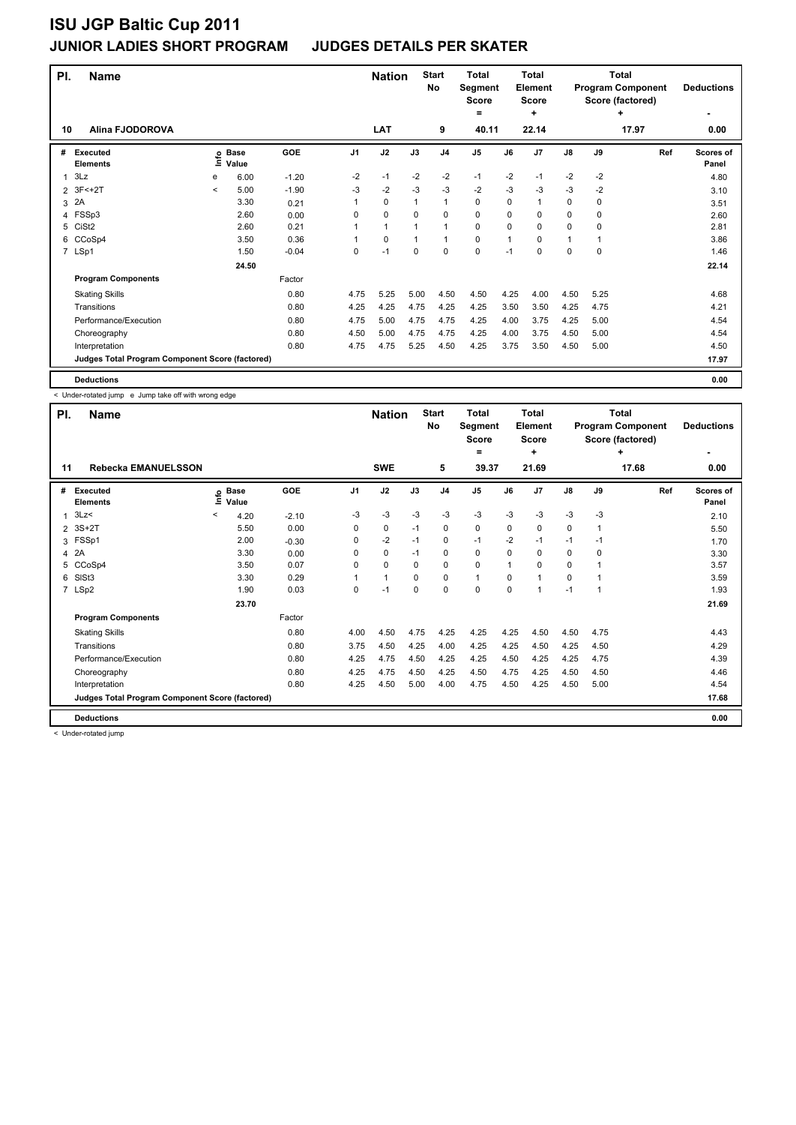| PI.            | <b>Name</b>                                     |         |                      |         |                | <b>Nation</b> |              | <b>Start</b><br>No | <b>Total</b><br>Segment<br><b>Score</b><br>= |      | Total<br><b>Element</b><br><b>Score</b><br>÷ |               | Total<br><b>Program Component</b><br>Score (factored) | <b>Deductions</b> |                    |
|----------------|-------------------------------------------------|---------|----------------------|---------|----------------|---------------|--------------|--------------------|----------------------------------------------|------|----------------------------------------------|---------------|-------------------------------------------------------|-------------------|--------------------|
| 10             | <b>Alina FJODOROVA</b>                          |         |                      |         |                | <b>LAT</b>    |              | 9                  | 40.11                                        |      | 22.14                                        |               |                                                       | 17.97             | 0.00               |
| #              | Executed<br><b>Elements</b>                     | lnfo    | <b>Base</b><br>Value | GOE     | J <sub>1</sub> | J2            | J3           | J <sub>4</sub>     | J <sub>5</sub>                               | J6   | J <sub>7</sub>                               | $\mathsf{J}8$ | J9                                                    | Ref               | Scores of<br>Panel |
| 1              | 3Lz                                             | e       | 6.00                 | $-1.20$ | $-2$           | $-1$          | $-2$         | $-2$               | $-1$                                         | $-2$ | $-1$                                         | $-2$          | $-2$                                                  |                   | 4.80               |
| $\overline{2}$ | $3F<+2T$                                        | $\prec$ | 5.00                 | $-1.90$ | -3             | $-2$          | $-3$         | $-3$               | $-2$                                         | $-3$ | $-3$                                         | $-3$          | $-2$                                                  |                   | 3.10               |
| 3              | 2A                                              |         | 3.30                 | 0.21    |                | $\mathbf 0$   | $\mathbf{1}$ | $\mathbf{1}$       | $\mathbf 0$                                  | 0    | 1                                            | 0             | 0                                                     |                   | 3.51               |
| 4              | FSSp3                                           |         | 2.60                 | 0.00    | 0              | $\mathbf 0$   | $\Omega$     | $\mathbf 0$        | 0                                            | 0    | $\Omega$                                     | $\Omega$      | $\Omega$                                              |                   | 2.60               |
| 5              | CiSt <sub>2</sub>                               |         | 2.60                 | 0.21    |                | $\mathbf{1}$  |              | $\mathbf{1}$       | $\mathbf 0$                                  | 0    | 0                                            | 0             | 0                                                     |                   | 2.81               |
| 6              | CCoSp4                                          |         | 3.50                 | 0.36    |                | $\mathbf 0$   | 1            | $\mathbf{1}$       | $\mathbf 0$                                  | 1    | 0                                            | 1             | 1                                                     |                   | 3.86               |
|                | 7 LSp1                                          |         | 1.50                 | $-0.04$ | 0              | $-1$          | 0            | 0                  | 0                                            | $-1$ | 0                                            | 0             | 0                                                     |                   | 1.46               |
|                |                                                 |         | 24.50                |         |                |               |              |                    |                                              |      |                                              |               |                                                       |                   | 22.14              |
|                | <b>Program Components</b>                       |         |                      | Factor  |                |               |              |                    |                                              |      |                                              |               |                                                       |                   |                    |
|                | <b>Skating Skills</b>                           |         |                      | 0.80    | 4.75           | 5.25          | 5.00         | 4.50               | 4.50                                         | 4.25 | 4.00                                         | 4.50          | 5.25                                                  |                   | 4.68               |
|                | Transitions                                     |         |                      | 0.80    | 4.25           | 4.25          | 4.75         | 4.25               | 4.25                                         | 3.50 | 3.50                                         | 4.25          | 4.75                                                  |                   | 4.21               |
|                | Performance/Execution                           |         |                      | 0.80    | 4.75           | 5.00          | 4.75         | 4.75               | 4.25                                         | 4.00 | 3.75                                         | 4.25          | 5.00                                                  |                   | 4.54               |
|                | Choreography                                    |         |                      | 0.80    | 4.50           | 5.00          | 4.75         | 4.75               | 4.25                                         | 4.00 | 3.75                                         | 4.50          | 5.00                                                  |                   | 4.54               |
|                | Interpretation                                  |         |                      | 0.80    | 4.75           | 4.75          | 5.25         | 4.50               | 4.25                                         | 3.75 | 3.50                                         | 4.50          | 5.00                                                  |                   | 4.50               |
|                | Judges Total Program Component Score (factored) |         |                      |         |                |               |              |                    |                                              |      |                                              |               |                                                       |                   | 17.97              |
|                | <b>Deductions</b>                               |         |                      |         |                |               |              |                    |                                              |      |                                              |               |                                                       |                   | 0.00               |

< Under-rotated jump e Jump take off with wrong edge

|              | PI.<br><b>Name</b>                              |         |                            |         |                | <b>Nation</b> |          | <b>Start</b><br><b>No</b> | <b>Total</b><br>Segment<br><b>Score</b> |          | Total<br>Element<br><b>Score</b> |          |             | Total<br><b>Program Component</b><br>Score (factored) | <b>Deductions</b>         |
|--------------|-------------------------------------------------|---------|----------------------------|---------|----------------|---------------|----------|---------------------------|-----------------------------------------|----------|----------------------------------|----------|-------------|-------------------------------------------------------|---------------------------|
| 11           | <b>Rebecka EMANUELSSON</b>                      |         |                            |         |                | <b>SWE</b>    |          | 5                         | =<br>39.37                              |          | ٠<br>21.69                       |          |             | ٠<br>17.68                                            | 0.00                      |
| #            | Executed<br><b>Elements</b>                     |         | e Base<br>E Value<br>Value | GOE     | J <sub>1</sub> | J2            | J3       | J <sub>4</sub>            | J <sub>5</sub>                          | J6       | J7                               | J8       | J9          | Ref                                                   | <b>Scores of</b><br>Panel |
| $\mathbf{1}$ | 3Lz                                             | $\prec$ | 4.20                       | $-2.10$ | $-3$           | $-3$          | $-3$     | $-3$                      | $-3$                                    | $-3$     | $-3$                             | $-3$     | $-3$        |                                                       | 2.10                      |
|              | $2^{\circ}$ 3S+2T                               |         | 5.50                       | 0.00    | 0              | 0             | $-1$     | $\mathbf 0$               | $\mathbf 0$                             | 0        | 0                                | 0        | $\mathbf 1$ |                                                       | 5.50                      |
| 3            | FSSp1                                           |         | 2.00                       | $-0.30$ | 0              | $-2$          | $-1$     | 0                         | $-1$                                    | $-2$     | $-1$                             | $-1$     | $-1$        |                                                       | 1.70                      |
|              | 4 2A                                            |         | 3.30                       | 0.00    | 0              | $\mathbf 0$   | $-1$     | $\mathbf 0$               | $\mathbf 0$                             | 0        | 0                                | 0        | 0           |                                                       | 3.30                      |
| 5            | CCoSp4                                          |         | 3.50                       | 0.07    | $\Omega$       | $\mathbf 0$   | $\Omega$ | $\mathbf 0$               | $\mathbf 0$                             | 1        | $\Omega$                         | $\Omega$ |             |                                                       | 3.57                      |
| 6            | SISt <sub>3</sub>                               |         | 3.30                       | 0.29    |                | $\mathbf{1}$  | $\Omega$ | 0                         | $\mathbf{1}$                            | $\Omega$ |                                  | $\Omega$ |             |                                                       | 3.59                      |
|              | 7 LSp2                                          |         | 1.90                       | 0.03    | $\Omega$       | $-1$          | $\Omega$ | $\mathbf 0$               | $\mathbf 0$                             | $\Omega$ |                                  | $-1$     |             |                                                       | 1.93                      |
|              |                                                 |         | 23.70                      |         |                |               |          |                           |                                         |          |                                  |          |             |                                                       | 21.69                     |
|              | <b>Program Components</b>                       |         |                            | Factor  |                |               |          |                           |                                         |          |                                  |          |             |                                                       |                           |
|              | <b>Skating Skills</b>                           |         |                            | 0.80    | 4.00           | 4.50          | 4.75     | 4.25                      | 4.25                                    | 4.25     | 4.50                             | 4.50     | 4.75        |                                                       | 4.43                      |
|              | Transitions                                     |         |                            | 0.80    | 3.75           | 4.50          | 4.25     | 4.00                      | 4.25                                    | 4.25     | 4.50                             | 4.25     | 4.50        |                                                       | 4.29                      |
|              | Performance/Execution                           |         |                            | 0.80    | 4.25           | 4.75          | 4.50     | 4.25                      | 4.25                                    | 4.50     | 4.25                             | 4.25     | 4.75        |                                                       | 4.39                      |
|              | Choreography                                    |         |                            | 0.80    | 4.25           | 4.75          | 4.50     | 4.25                      | 4.50                                    | 4.75     | 4.25                             | 4.50     | 4.50        |                                                       | 4.46                      |
|              | Interpretation                                  |         |                            | 0.80    | 4.25           | 4.50          | 5.00     | 4.00                      | 4.75                                    | 4.50     | 4.25                             | 4.50     | 5.00        |                                                       | 4.54                      |
|              | Judges Total Program Component Score (factored) |         |                            |         |                |               |          |                           |                                         |          |                                  |          |             |                                                       | 17.68                     |
|              | <b>Deductions</b>                               |         |                            |         |                |               |          |                           |                                         |          |                                  |          |             |                                                       | 0.00                      |

< Under-rotated jump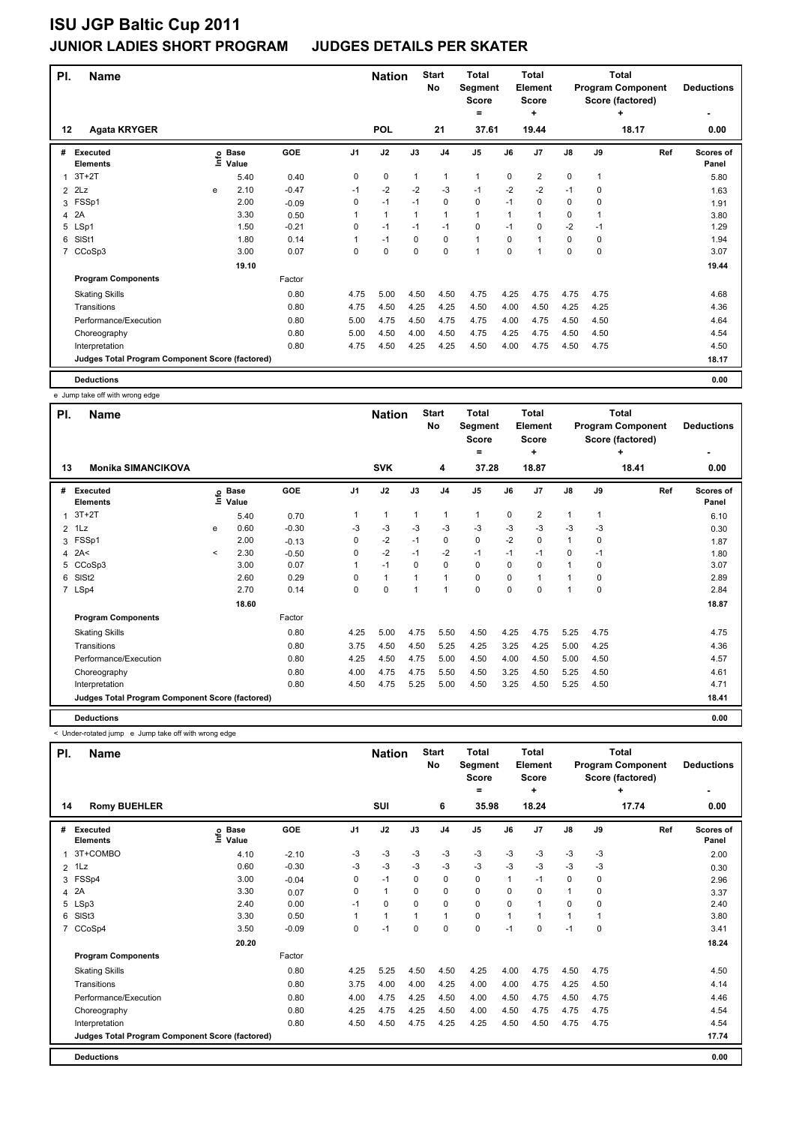| PI.          | <b>Name</b>                                     |   |                   | <b>Nation</b> |      | <b>Start</b><br><b>No</b> | <b>Total</b><br>Segment<br><b>Score</b><br>$=$ |                | <b>Total</b><br>Element<br><b>Score</b><br>÷ |      |                | <b>Total</b><br><b>Program Component</b><br>Score (factored)<br>٠ | <b>Deductions</b> |       |                    |
|--------------|-------------------------------------------------|---|-------------------|---------------|------|---------------------------|------------------------------------------------|----------------|----------------------------------------------|------|----------------|-------------------------------------------------------------------|-------------------|-------|--------------------|
| $12 \,$      | <b>Agata KRYGER</b>                             |   |                   |               |      | <b>POL</b>                |                                                | 21             | 37.61                                        |      | 19.44          |                                                                   |                   | 18.17 | 0.00               |
| #            | <b>Executed</b><br><b>Elements</b>              |   | e Base<br>E Value | <b>GOE</b>    | J1   | J2                        | J3                                             | J <sub>4</sub> | J <sub>5</sub>                               | J6   | J <sub>7</sub> | $\mathsf{J}8$                                                     | J9                | Ref   | Scores of<br>Panel |
| $\mathbf{1}$ | $3T+2T$                                         |   | 5.40              | 0.40          | 0    | 0                         | $\mathbf{1}$                                   | 1              | 1                                            | 0    | $\overline{2}$ | 0                                                                 | 1                 |       | 5.80               |
| 2            | 2Lz                                             | e | 2.10              | $-0.47$       | $-1$ | $-2$                      | $-2$                                           | $-3$           | $-1$                                         | $-2$ | $-2$           | $-1$                                                              | 0                 |       | 1.63               |
| 3            | FSSp1                                           |   | 2.00              | $-0.09$       | 0    | $-1$                      | $-1$                                           | $\mathbf 0$    | 0                                            | $-1$ | $\mathbf 0$    | 0                                                                 | 0                 |       | 1.91               |
| 4            | 2A                                              |   | 3.30              | 0.50          | 1    | $\mathbf{1}$              | $\mathbf{1}$                                   | $\mathbf{1}$   | 1                                            | 1    | 1              | 0                                                                 | 1                 |       | 3.80               |
| 5            | LSp1                                            |   | 1.50              | $-0.21$       | 0    | $-1$                      | $-1$                                           | $-1$           | 0                                            | $-1$ | 0              | $-2$                                                              | $-1$              |       | 1.29               |
| 6            | SISt1                                           |   | 1.80              | 0.14          | 1    | $-1$                      | $\mathbf 0$                                    | $\mathbf 0$    | $\mathbf{1}$                                 | 0    | 1              | 0                                                                 | 0                 |       | 1.94               |
| 7            | CCoSp3                                          |   | 3.00              | 0.07          | 0    | 0                         | 0                                              | $\mathbf 0$    | 1                                            | 0    | 1              | 0                                                                 | 0                 |       | 3.07               |
|              |                                                 |   | 19.10             |               |      |                           |                                                |                |                                              |      |                |                                                                   |                   |       | 19.44              |
|              | <b>Program Components</b>                       |   |                   | Factor        |      |                           |                                                |                |                                              |      |                |                                                                   |                   |       |                    |
|              | <b>Skating Skills</b>                           |   |                   | 0.80          | 4.75 | 5.00                      | 4.50                                           | 4.50           | 4.75                                         | 4.25 | 4.75           | 4.75                                                              | 4.75              |       | 4.68               |
|              | Transitions                                     |   |                   | 0.80          | 4.75 | 4.50                      | 4.25                                           | 4.25           | 4.50                                         | 4.00 | 4.50           | 4.25                                                              | 4.25              |       | 4.36               |
|              | Performance/Execution                           |   |                   | 0.80          | 5.00 | 4.75                      | 4.50                                           | 4.75           | 4.75                                         | 4.00 | 4.75           | 4.50                                                              | 4.50              |       | 4.64               |
|              | Choreography                                    |   |                   | 0.80          | 5.00 | 4.50                      | 4.00                                           | 4.50           | 4.75                                         | 4.25 | 4.75           | 4.50                                                              | 4.50              |       | 4.54               |
|              | Interpretation                                  |   |                   | 0.80          | 4.75 | 4.50                      | 4.25                                           | 4.25           | 4.50                                         | 4.00 | 4.75           | 4.50                                                              | 4.75              |       | 4.50               |
|              | Judges Total Program Component Score (factored) |   |                   |               |      |                           |                                                |                |                                              |      |                |                                                                   |                   |       | 18.17              |
|              | <b>Deductions</b>                               |   |                   |               |      |                           |                                                |                |                                              |      |                |                                                                   |                   |       | 0.00               |

e Jump take off with wrong edge

| PI. | <b>Name</b>                                     |         |                 |         |                | <b>Nation</b> |          | <b>Start</b><br>No | <b>Total</b><br>Segment<br><b>Score</b><br>= |          | <b>Total</b><br>Element<br><b>Score</b><br>÷ |               |          | <b>Total</b><br><b>Program Component</b><br>Score (factored)<br>÷ | <b>Deductions</b>  |
|-----|-------------------------------------------------|---------|-----------------|---------|----------------|---------------|----------|--------------------|----------------------------------------------|----------|----------------------------------------------|---------------|----------|-------------------------------------------------------------------|--------------------|
| 13  | <b>Monika SIMANCIKOVA</b>                       |         |                 |         |                | <b>SVK</b>    |          | 4                  | 37.28                                        |          | 18.87                                        |               |          | 18.41                                                             | 0.00               |
| #   | Executed<br><b>Elements</b>                     | Ĕ       | o Base<br>Value | GOE     | J <sub>1</sub> | J2            | J3       | J <sub>4</sub>     | J <sub>5</sub>                               | J6       | J7                                           | $\mathsf{J}8$ | J9       | Ref                                                               | Scores of<br>Panel |
| 1   | $3T+2T$                                         |         | 5.40            | 0.70    |                | 1             | 1        | 1                  | $\mathbf{1}$                                 | 0        | 2                                            | 1             |          |                                                                   | 6.10               |
|     | $2$ 1 Lz                                        | e       | 0.60            | $-0.30$ | -3             | $-3$          | -3       | -3                 | $-3$                                         | -3       | $-3$                                         | $-3$          | -3       |                                                                   | 0.30               |
|     | 3 FSSp1                                         |         | 2.00            | $-0.13$ | 0              | $-2$          | $-1$     | $\mathbf 0$        | $\mathbf 0$                                  | $-2$     | $\mathbf 0$                                  | 1             | $\Omega$ |                                                                   | 1.87               |
| 4   | 2A<                                             | $\,<\,$ | 2.30            | $-0.50$ | 0              | $-2$          | $-1$     | $-2$               | $-1$                                         | $-1$     | $-1$                                         | 0             | $-1$     |                                                                   | 1.80               |
|     | 5 CCoSp3                                        |         | 3.00            | 0.07    |                | $-1$          | $\Omega$ | 0                  | $\Omega$                                     | $\Omega$ | $\Omega$                                     | $\mathbf{1}$  | 0        |                                                                   | 3.07               |
| 6   | SISt <sub>2</sub>                               |         | 2.60            | 0.29    | 0              | $\mathbf{1}$  |          | $\mathbf{1}$       | 0                                            | $\Omega$ |                                              | 1             | 0        |                                                                   | 2.89               |
|     | 7 LSp4                                          |         | 2.70            | 0.14    | 0              | $\mathbf 0$   | 1        | 1                  | $\mathbf 0$                                  | 0        | 0                                            | 1             | 0        |                                                                   | 2.84               |
|     |                                                 |         | 18.60           |         |                |               |          |                    |                                              |          |                                              |               |          |                                                                   | 18.87              |
|     | <b>Program Components</b>                       |         |                 | Factor  |                |               |          |                    |                                              |          |                                              |               |          |                                                                   |                    |
|     | <b>Skating Skills</b>                           |         |                 | 0.80    | 4.25           | 5.00          | 4.75     | 5.50               | 4.50                                         | 4.25     | 4.75                                         | 5.25          | 4.75     |                                                                   | 4.75               |
|     | Transitions                                     |         |                 | 0.80    | 3.75           | 4.50          | 4.50     | 5.25               | 4.25                                         | 3.25     | 4.25                                         | 5.00          | 4.25     |                                                                   | 4.36               |
|     | Performance/Execution                           |         |                 | 0.80    | 4.25           | 4.50          | 4.75     | 5.00               | 4.50                                         | 4.00     | 4.50                                         | 5.00          | 4.50     |                                                                   | 4.57               |
|     | Choreography                                    |         |                 | 0.80    | 4.00           | 4.75          | 4.75     | 5.50               | 4.50                                         | 3.25     | 4.50                                         | 5.25          | 4.50     |                                                                   | 4.61               |
|     | Interpretation                                  |         |                 | 0.80    | 4.50           | 4.75          | 5.25     | 5.00               | 4.50                                         | 3.25     | 4.50                                         | 5.25          | 4.50     |                                                                   | 4.71               |
|     | Judges Total Program Component Score (factored) |         |                 |         |                |               |          |                    |                                              |          |                                              |               |          |                                                                   | 18.41              |
|     | <b>Deductions</b>                               |         |                 |         |                |               |          |                    |                                              |          |                                              |               |          |                                                                   | 0.00               |

< Under-rotated jump e Jump take off with wrong edge

| PI.            | <b>Name</b>                                     |                      |         |                | <b>Nation</b> |              | <b>Start</b><br>No | <b>Total</b><br>Segment<br><b>Score</b><br>= |      | Total<br><b>Element</b><br><b>Score</b><br>٠ |      |          | Total<br><b>Program Component</b><br>Score (factored)<br>÷ | <b>Deductions</b>  |
|----------------|-------------------------------------------------|----------------------|---------|----------------|---------------|--------------|--------------------|----------------------------------------------|------|----------------------------------------------|------|----------|------------------------------------------------------------|--------------------|
| 14             | <b>Romy BUEHLER</b>                             |                      |         |                | SUI           |              | 6                  | 35.98                                        |      | 18.24                                        |      |          | 17.74                                                      | 0.00               |
| #              | Executed<br><b>Elements</b>                     | o Base<br>Ξ<br>Value | GOE     | J <sub>1</sub> | J2            | J3           | J <sub>4</sub>     | J <sub>5</sub>                               | J6   | J <sub>7</sub>                               | J8   | J9       | Ref                                                        | Scores of<br>Panel |
| $\mathbf{1}$   | 3T+COMBO                                        | 4.10                 | $-2.10$ | -3             | $-3$          | -3           | $-3$               | $-3$                                         | $-3$ | $-3$                                         | $-3$ | $-3$     |                                                            | 2.00               |
|                | $2$ 1Lz                                         | 0.60                 | $-0.30$ | $-3$           | $-3$          | $-3$         | $-3$               | $-3$                                         | $-3$ | $-3$                                         | $-3$ | $-3$     |                                                            | 0.30               |
| 3              | FSSp4                                           | 3.00                 | $-0.04$ | 0              | $-1$          | $\mathbf{0}$ | $\mathbf 0$        | $\mathbf 0$                                  | 1    | $-1$                                         | 0    | 0        |                                                            | 2.96               |
|                | 4 2A                                            | 3.30                 | 0.07    | $\Omega$       | $\mathbf{1}$  | 0            | 0                  | 0                                            | 0    | $\Omega$                                     | 1    | 0        |                                                            | 3.37               |
|                | 5 LSp3                                          | 2.40                 | 0.00    | $-1$           | 0             | $\Omega$     | 0                  | 0                                            | 0    |                                              | 0    | 0        |                                                            | 2.40               |
| 6              | SISt <sub>3</sub>                               | 3.30                 | 0.50    |                | $\mathbf{1}$  | 1            | $\mathbf{1}$       | $\mathbf 0$                                  |      |                                              | 1    |          |                                                            | 3.80               |
| $\overline{7}$ | CCoSp4                                          | 3.50                 | $-0.09$ | $\Omega$       | $-1$          | $\Omega$     | $\Omega$           | $\mathbf 0$                                  | $-1$ | 0                                            | $-1$ | $\Omega$ |                                                            | 3.41               |
|                |                                                 | 20.20                |         |                |               |              |                    |                                              |      |                                              |      |          |                                                            | 18.24              |
|                | <b>Program Components</b>                       |                      | Factor  |                |               |              |                    |                                              |      |                                              |      |          |                                                            |                    |
|                | <b>Skating Skills</b>                           |                      | 0.80    | 4.25           | 5.25          | 4.50         | 4.50               | 4.25                                         | 4.00 | 4.75                                         | 4.50 | 4.75     |                                                            | 4.50               |
|                | Transitions                                     |                      | 0.80    | 3.75           | 4.00          | 4.00         | 4.25               | 4.00                                         | 4.00 | 4.75                                         | 4.25 | 4.50     |                                                            | 4.14               |
|                | Performance/Execution                           |                      | 0.80    | 4.00           | 4.75          | 4.25         | 4.50               | 4.00                                         | 4.50 | 4.75                                         | 4.50 | 4.75     |                                                            | 4.46               |
|                | Choreography                                    |                      | 0.80    | 4.25           | 4.75          | 4.25         | 4.50               | 4.00                                         | 4.50 | 4.75                                         | 4.75 | 4.75     |                                                            | 4.54               |
|                | Interpretation                                  |                      | 0.80    | 4.50           | 4.50          | 4.75         | 4.25               | 4.25                                         | 4.50 | 4.50                                         | 4.75 | 4.75     |                                                            | 4.54               |
|                | Judges Total Program Component Score (factored) |                      |         |                |               |              |                    |                                              |      |                                              |      |          |                                                            | 17.74              |
|                | <b>Deductions</b>                               |                      |         |                |               |              |                    |                                              |      |                                              |      |          |                                                            | 0.00               |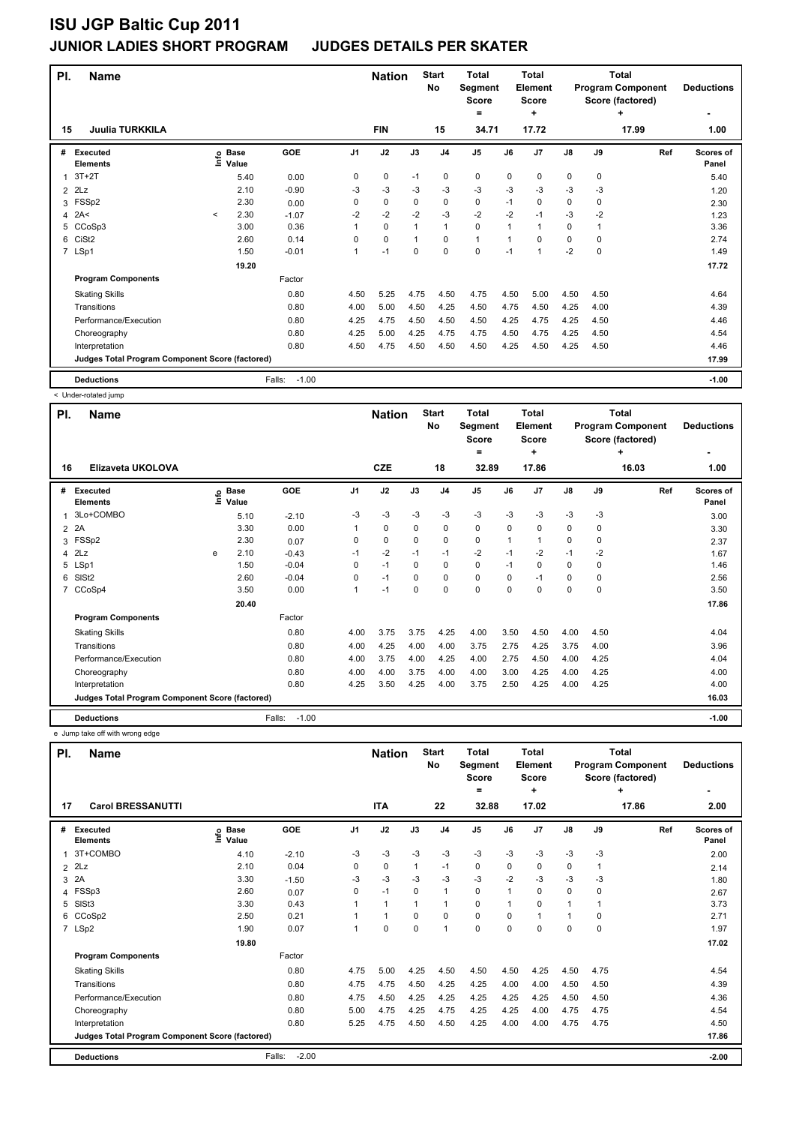| PI.            | <b>Name</b>                                     |         |                 | <b>Nation</b>     |                | <b>Start</b><br>No | <b>Total</b><br>Segment<br><b>Score</b><br>$=$ |                | Total<br>Element<br><b>Score</b><br>÷ |      |                | Total<br><b>Program Component</b><br>Score (factored)<br>٠ | <b>Deductions</b> |       |                    |
|----------------|-------------------------------------------------|---------|-----------------|-------------------|----------------|--------------------|------------------------------------------------|----------------|---------------------------------------|------|----------------|------------------------------------------------------------|-------------------|-------|--------------------|
| 15             | <b>Juulia TURKKILA</b>                          |         |                 |                   |                | <b>FIN</b>         |                                                | 15             | 34.71                                 |      | 17.72          |                                                            |                   | 17.99 | 1.00               |
| #              | <b>Executed</b><br><b>Elements</b>              | Ξ       | o Base<br>Value | GOE               | J <sub>1</sub> | J2                 | J3                                             | J <sub>4</sub> | J <sub>5</sub>                        | J6   | J <sub>7</sub> | $\mathsf{J}8$                                              | J9                | Ref   | Scores of<br>Panel |
| $\mathbf{1}$   | $3T+2T$                                         |         | 5.40            | 0.00              | 0              | 0                  | $-1$                                           | 0              | 0                                     | 0    | 0              | 0                                                          | 0                 |       | 5.40               |
| $\overline{2}$ | 2Lz                                             |         | 2.10            | $-0.90$           | -3             | $-3$               | -3                                             | $-3$           | $-3$                                  | $-3$ | $-3$           | $-3$                                                       | $-3$              |       | 1.20               |
| 3              | FSSp2                                           |         | 2.30            | 0.00              | 0              | 0                  | 0                                              | $\mathbf 0$    | 0                                     | $-1$ | 0              | 0                                                          | 0                 |       | 2.30               |
| $\overline{4}$ | 2A<                                             | $\prec$ | 2.30            | $-1.07$           | $-2$           | $-2$               | $-2$                                           | $-3$           | $-2$                                  | $-2$ | $-1$           | $-3$                                                       | $-2$              |       | 1.23               |
| 5              | CCoSp3                                          |         | 3.00            | 0.36              |                | 0                  | 1                                              | $\mathbf{1}$   | 0                                     | 1    | $\mathbf{1}$   | 0                                                          | 1                 |       | 3.36               |
| 6              | CiSt <sub>2</sub>                               |         | 2.60            | 0.14              | $\Omega$       | 0                  | 1                                              | $\Omega$       | $\mathbf{1}$                          | 1    | 0              | 0                                                          | $\Omega$          |       | 2.74               |
|                | 7 LSp1                                          |         | 1.50            | $-0.01$           | 1              | $-1$               | $\Omega$                                       | $\mathbf 0$    | 0                                     | $-1$ | 1              | $-2$                                                       | $\mathbf 0$       |       | 1.49               |
|                |                                                 |         | 19.20           |                   |                |                    |                                                |                |                                       |      |                |                                                            |                   |       | 17.72              |
|                | <b>Program Components</b>                       |         |                 | Factor            |                |                    |                                                |                |                                       |      |                |                                                            |                   |       |                    |
|                | <b>Skating Skills</b>                           |         |                 | 0.80              | 4.50           | 5.25               | 4.75                                           | 4.50           | 4.75                                  | 4.50 | 5.00           | 4.50                                                       | 4.50              |       | 4.64               |
|                | Transitions                                     |         |                 | 0.80              | 4.00           | 5.00               | 4.50                                           | 4.25           | 4.50                                  | 4.75 | 4.50           | 4.25                                                       | 4.00              |       | 4.39               |
|                | Performance/Execution                           |         |                 | 0.80              | 4.25           | 4.75               | 4.50                                           | 4.50           | 4.50                                  | 4.25 | 4.75           | 4.25                                                       | 4.50              |       | 4.46               |
|                | Choreography                                    |         |                 | 0.80              | 4.25           | 5.00               | 4.25                                           | 4.75           | 4.75                                  | 4.50 | 4.75           | 4.25                                                       | 4.50              |       | 4.54               |
|                | Interpretation                                  |         |                 | 0.80              | 4.50           | 4.75               | 4.50                                           | 4.50           | 4.50                                  | 4.25 | 4.50           | 4.25                                                       | 4.50              |       | 4.46               |
|                | Judges Total Program Component Score (factored) |         |                 |                   |                |                    |                                                |                |                                       |      |                |                                                            |                   |       | 17.99              |
|                | <b>Deductions</b>                               |         |                 | Falls:<br>$-1.00$ |                |                    |                                                |                |                                       |      |                |                                                            |                   |       | $-1.00$            |

< Under-rotated jump

| PI.            | <b>Name</b>                                     |   |                   |                   |                | <b>Nation</b> |             | <b>Start</b><br>No | <b>Total</b><br>Segment<br><b>Score</b> |             | <b>Total</b><br>Element<br><b>Score</b> |             |          | Total<br><b>Program Component</b><br>Score (factored) | <b>Deductions</b>         |
|----------------|-------------------------------------------------|---|-------------------|-------------------|----------------|---------------|-------------|--------------------|-----------------------------------------|-------------|-----------------------------------------|-------------|----------|-------------------------------------------------------|---------------------------|
|                | Elizaveta UKOLOVA                               |   |                   |                   |                | <b>CZE</b>    |             | 18                 | =                                       |             | ٠<br>17.86                              |             |          | ٠                                                     |                           |
| 16             |                                                 |   |                   |                   |                |               |             |                    | 32.89                                   |             |                                         |             |          | 16.03                                                 | 1.00                      |
| #              | <b>Executed</b><br><b>Elements</b>              |   | e Base<br>E Value | GOE               | J <sub>1</sub> | J2            | J3          | J <sub>4</sub>     | J <sub>5</sub>                          | J6          | J <sub>7</sub>                          | J8          | J9       | Ref                                                   | <b>Scores of</b><br>Panel |
| 1              | 3Lo+COMBO                                       |   | 5.10              | $-2.10$           | -3             | $-3$          | -3          | -3                 | $-3$                                    | $-3$        | -3                                      | $-3$        | -3       |                                                       | 3.00                      |
| $\overline{2}$ | 2A                                              |   | 3.30              | 0.00              |                | 0             | 0           | 0                  | 0                                       | $\Omega$    | 0                                       | 0           | 0        |                                                       | 3.30                      |
| 3              | FSSp2                                           |   | 2.30              | 0.07              | 0              | 0             | 0           | 0                  | $\mathbf 0$                             | 1           |                                         | 0           | 0        |                                                       | 2.37                      |
| 4              | 2Lz                                             | e | 2.10              | $-0.43$           | $-1$           | $-2$          | $-1$        | $-1$               | $-2$                                    | $-1$        | $-2$                                    | $-1$        | $-2$     |                                                       | 1.67                      |
|                | 5 LSp1                                          |   | 1.50              | $-0.04$           | $\Omega$       | $-1$          | $\Omega$    | $\mathbf 0$        | $\mathbf 0$                             | $-1$        | $\Omega$                                | $\Omega$    | $\Omega$ |                                                       | 1.46                      |
| 6              | SIS <sub>t2</sub>                               |   | 2.60              | $-0.04$           | 0              | $-1$          | $\mathbf 0$ | $\mathbf 0$        | $\mathbf 0$                             | $\Omega$    | $-1$                                    | $\mathbf 0$ | 0        |                                                       | 2.56                      |
| 7              | CCoSp4                                          |   | 3.50              | 0.00              | $\mathbf{1}$   | $-1$          | 0           | $\mathbf 0$        | $\mathbf 0$                             | $\mathbf 0$ | 0                                       | $\mathbf 0$ | 0        |                                                       | 3.50                      |
|                |                                                 |   | 20.40             |                   |                |               |             |                    |                                         |             |                                         |             |          |                                                       | 17.86                     |
|                | <b>Program Components</b>                       |   |                   | Factor            |                |               |             |                    |                                         |             |                                         |             |          |                                                       |                           |
|                | <b>Skating Skills</b>                           |   |                   | 0.80              | 4.00           | 3.75          | 3.75        | 4.25               | 4.00                                    | 3.50        | 4.50                                    | 4.00        | 4.50     |                                                       | 4.04                      |
|                | Transitions                                     |   |                   | 0.80              | 4.00           | 4.25          | 4.00        | 4.00               | 3.75                                    | 2.75        | 4.25                                    | 3.75        | 4.00     |                                                       | 3.96                      |
|                | Performance/Execution                           |   |                   | 0.80              | 4.00           | 3.75          | 4.00        | 4.25               | 4.00                                    | 2.75        | 4.50                                    | 4.00        | 4.25     |                                                       | 4.04                      |
|                | Choreography                                    |   |                   | 0.80              | 4.00           | 4.00          | 3.75        | 4.00               | 4.00                                    | 3.00        | 4.25                                    | 4.00        | 4.25     |                                                       | 4.00                      |
|                | Interpretation                                  |   |                   | 0.80              | 4.25           | 3.50          | 4.25        | 4.00               | 3.75                                    | 2.50        | 4.25                                    | 4.00        | 4.25     |                                                       | 4.00                      |
|                | Judges Total Program Component Score (factored) |   |                   |                   |                |               |             |                    |                                         |             |                                         |             |          |                                                       | 16.03                     |
|                | <b>Deductions</b>                               |   |                   | $-1.00$<br>Falls: |                |               |             |                    |                                         |             |                                         |             |          |                                                       | $-1.00$                   |

e Jump take off with wrong edge

| PI. | <b>Name</b>                                     |                              |                   |          | <b>Nation</b> |                | <b>Start</b><br>No | <b>Total</b><br>Segment<br><b>Score</b><br>= |              | <b>Total</b><br>Element<br>Score<br>٠ |                |          | Total<br><b>Program Component</b><br>Score (factored)<br>٠ | <b>Deductions</b>  |
|-----|-------------------------------------------------|------------------------------|-------------------|----------|---------------|----------------|--------------------|----------------------------------------------|--------------|---------------------------------------|----------------|----------|------------------------------------------------------------|--------------------|
| 17  | <b>Carol BRESSANUTTI</b>                        |                              |                   |          | <b>ITA</b>    |                | 22                 | 32.88                                        |              | 17.02                                 |                |          | 17.86                                                      | 2.00               |
| #   | Executed<br><b>Elements</b>                     | <b>Base</b><br>١mfo<br>Value | GOE               | J1       | J2            | J3             | J <sub>4</sub>     | J <sub>5</sub>                               | J6           | J7                                    | $\mathsf{J}8$  | J9       | Ref                                                        | Scores of<br>Panel |
| 1   | 3T+COMBO                                        | 4.10                         | $-2.10$           | $-3$     | $-3$          | $-3$           | $-3$               | $-3$                                         | $-3$         | $-3$                                  | $-3$           | $-3$     |                                                            | 2.00               |
|     | $2$ $2Lz$                                       | 2.10                         | 0.04              | 0        | 0             | $\mathbf{1}$   | $-1$               | 0                                            | 0            | 0                                     | 0              |          |                                                            | 2.14               |
|     | 3 2A                                            | 3.30                         | $-1.50$           | -3       | $-3$          | $-3$           | $-3$               | $-3$                                         | $-2$         | $-3$                                  | $-3$           | $-3$     |                                                            | 1.80               |
| 4   | FSSp3                                           | 2.60                         | 0.07              | $\Omega$ | $-1$          | $\Omega$       | $\mathbf{1}$       | $\Omega$                                     | $\mathbf 1$  | $\Omega$                              | $\Omega$       | 0        |                                                            | 2.67               |
|     | 5 SISt3                                         | 3.30                         | 0.43              |          | $\mathbf{1}$  | $\overline{1}$ | $\mathbf{1}$       | $\Omega$                                     | $\mathbf 1$  | $\Omega$                              | $\overline{1}$ |          |                                                            | 3.73               |
| 6   | CCoSp2                                          | 2.50                         | 0.21              |          | 1             | $\Omega$       | $\mathbf 0$        | $\mathbf 0$                                  | <sup>0</sup> |                                       | $\overline{1}$ | $\Omega$ |                                                            | 2.71               |
|     | 7 LSp2                                          | 1.90                         | 0.07              |          | 0             | $\Omega$       | $\mathbf{1}$       | 0                                            | $\Omega$     | $\Omega$                              | $\Omega$       | $\Omega$ |                                                            | 1.97               |
|     |                                                 | 19.80                        |                   |          |               |                |                    |                                              |              |                                       |                |          |                                                            | 17.02              |
|     | <b>Program Components</b>                       |                              | Factor            |          |               |                |                    |                                              |              |                                       |                |          |                                                            |                    |
|     | <b>Skating Skills</b>                           |                              | 0.80              | 4.75     | 5.00          | 4.25           | 4.50               | 4.50                                         | 4.50         | 4.25                                  | 4.50           | 4.75     |                                                            | 4.54               |
|     | Transitions                                     |                              | 0.80              | 4.75     | 4.75          | 4.50           | 4.25               | 4.25                                         | 4.00         | 4.00                                  | 4.50           | 4.50     |                                                            | 4.39               |
|     | Performance/Execution                           |                              | 0.80              | 4.75     | 4.50          | 4.25           | 4.25               | 4.25                                         | 4.25         | 4.25                                  | 4.50           | 4.50     |                                                            | 4.36               |
|     | Choreography                                    |                              | 0.80              | 5.00     | 4.75          | 4.25           | 4.75               | 4.25                                         | 4.25         | 4.00                                  | 4.75           | 4.75     |                                                            | 4.54               |
|     | Interpretation                                  |                              | 0.80              | 5.25     | 4.75          | 4.50           | 4.50               | 4.25                                         | 4.00         | 4.00                                  | 4.75           | 4.75     |                                                            | 4.50               |
|     | Judges Total Program Component Score (factored) |                              |                   |          |               |                |                    |                                              |              |                                       |                |          |                                                            | 17.86              |
|     | <b>Deductions</b>                               |                              | $-2.00$<br>Falls: |          |               |                |                    |                                              |              |                                       |                |          |                                                            | $-2.00$            |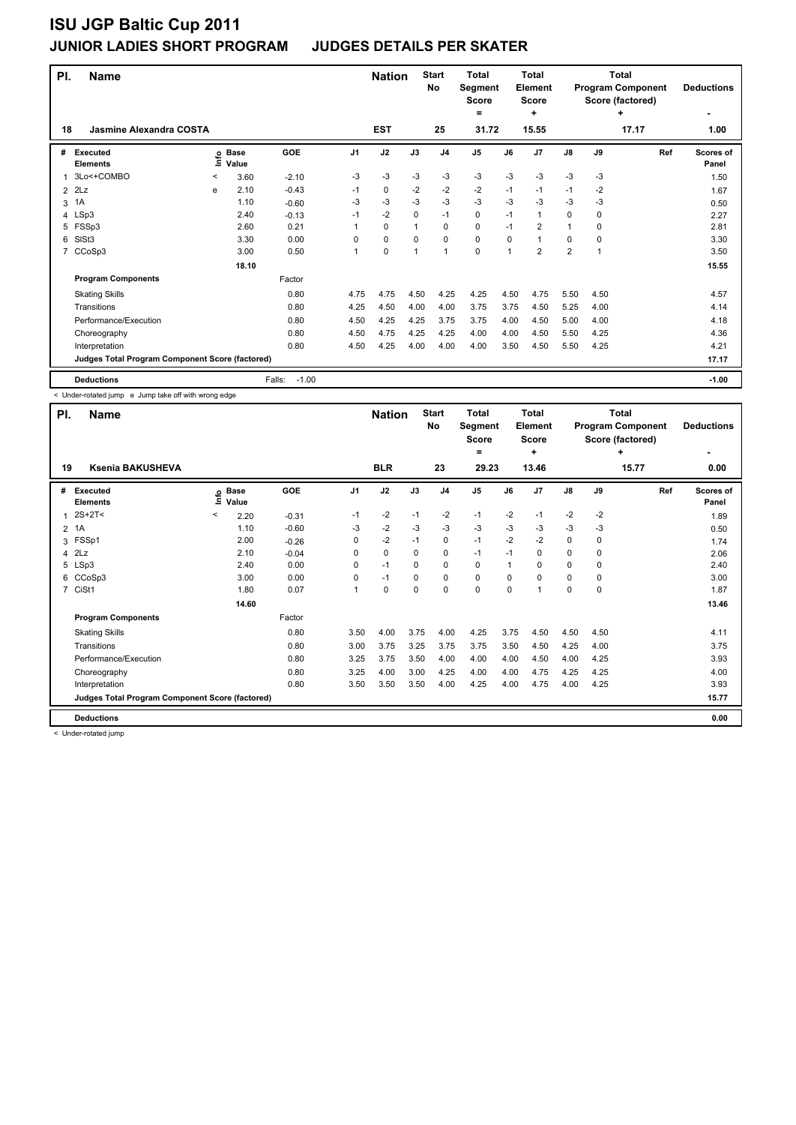| PI. | <b>Name</b>                                     |   |                   |                   |                | <b>Nation</b> |              | <b>Start</b><br>No | <b>Total</b><br>Segment<br><b>Score</b><br>$\equiv$ |      | <b>Total</b><br>Element<br><b>Score</b><br>÷ |                |      | <b>Total</b><br><b>Program Component</b><br>Score (factored)<br>٠ | <b>Deductions</b>         |
|-----|-------------------------------------------------|---|-------------------|-------------------|----------------|---------------|--------------|--------------------|-----------------------------------------------------|------|----------------------------------------------|----------------|------|-------------------------------------------------------------------|---------------------------|
| 18  | Jasmine Alexandra COSTA                         |   |                   |                   |                | <b>EST</b>    |              | 25                 | 31.72                                               |      | 15.55                                        |                |      | 17.17                                                             | 1.00                      |
| #   | <b>Executed</b><br><b>Elements</b>              |   | e Base<br>⊆ Value | GOE               | J <sub>1</sub> | J2            | J3           | J <sub>4</sub>     | J <sub>5</sub>                                      | J6   | J <sub>7</sub>                               | $\mathsf{J}8$  | J9   | Ref                                                               | <b>Scores of</b><br>Panel |
|     | 3Lo<+COMBO                                      | < | 3.60              | $-2.10$           | -3             | $-3$          | $-3$         | $-3$               | $-3$                                                | $-3$ | $-3$                                         | $-3$           | $-3$ |                                                                   | 1.50                      |
| 2   | 2Lz                                             | e | 2.10              | $-0.43$           | $-1$           | 0             | $-2$         | $-2$               | $-2$                                                | $-1$ | $-1$                                         | $-1$           | $-2$ |                                                                   | 1.67                      |
| 3   | 1A                                              |   | 1.10              | $-0.60$           | -3             | -3            | $-3$         | $-3$               | $-3$                                                | $-3$ | $-3$                                         | $-3$           | $-3$ |                                                                   | 0.50                      |
|     | 4 LSp3                                          |   | 2.40              | $-0.13$           | $-1$           | $-2$          | $\mathbf 0$  | $-1$               | 0                                                   | $-1$ | $\mathbf{1}$                                 | 0              | 0    |                                                                   | 2.27                      |
| 5   | FSSp3                                           |   | 2.60              | 0.21              | 1              | 0             | $\mathbf{1}$ | 0                  | 0                                                   | $-1$ | $\overline{2}$                               | 1              | 0    |                                                                   | 2.81                      |
| 6   | SISt <sub>3</sub>                               |   | 3.30              | 0.00              | 0              | 0             | $\Omega$     | 0                  | 0                                                   | 0    | 1                                            | 0              | 0    |                                                                   | 3.30                      |
| 7   | CCoSp3                                          |   | 3.00              | 0.50              | 1              | 0             | 1            | -1                 | 0                                                   | 1    | $\overline{2}$                               | $\overline{2}$ | 1    |                                                                   | 3.50                      |
|     |                                                 |   | 18.10             |                   |                |               |              |                    |                                                     |      |                                              |                |      |                                                                   | 15.55                     |
|     | <b>Program Components</b>                       |   |                   | Factor            |                |               |              |                    |                                                     |      |                                              |                |      |                                                                   |                           |
|     | <b>Skating Skills</b>                           |   |                   | 0.80              | 4.75           | 4.75          | 4.50         | 4.25               | 4.25                                                | 4.50 | 4.75                                         | 5.50           | 4.50 |                                                                   | 4.57                      |
|     | Transitions                                     |   |                   | 0.80              | 4.25           | 4.50          | 4.00         | 4.00               | 3.75                                                | 3.75 | 4.50                                         | 5.25           | 4.00 |                                                                   | 4.14                      |
|     | Performance/Execution                           |   |                   | 0.80              | 4.50           | 4.25          | 4.25         | 3.75               | 3.75                                                | 4.00 | 4.50                                         | 5.00           | 4.00 |                                                                   | 4.18                      |
|     | Choreography                                    |   |                   | 0.80              | 4.50           | 4.75          | 4.25         | 4.25               | 4.00                                                | 4.00 | 4.50                                         | 5.50           | 4.25 |                                                                   | 4.36                      |
|     | Interpretation                                  |   |                   | 0.80              | 4.50           | 4.25          | 4.00         | 4.00               | 4.00                                                | 3.50 | 4.50                                         | 5.50           | 4.25 |                                                                   | 4.21                      |
|     | Judges Total Program Component Score (factored) |   |                   |                   |                |               |              |                    |                                                     |      |                                              |                |      |                                                                   | 17.17                     |
|     | <b>Deductions</b>                               |   |                   | $-1.00$<br>Falls: |                |               |              |                    |                                                     |      |                                              |                |      |                                                                   | $-1.00$                   |

< Under-rotated jump e Jump take off with wrong edge

| PI.            | <b>Name</b>                                     |         |                      |         |                | <b>Nation</b> |          | <b>Start</b><br>No | <b>Total</b><br>Segment<br><b>Score</b><br>٠ |          | Total<br>Element<br><b>Score</b><br>٠ |             |             | Total<br><b>Program Component</b><br>Score (factored)<br>٠ | <b>Deductions</b>         |
|----------------|-------------------------------------------------|---------|----------------------|---------|----------------|---------------|----------|--------------------|----------------------------------------------|----------|---------------------------------------|-------------|-------------|------------------------------------------------------------|---------------------------|
| 19             | <b>Ksenia BAKUSHEVA</b>                         |         |                      |         |                | <b>BLR</b>    |          | 23                 | 29.23                                        |          | 13.46                                 |             |             | 15.77                                                      | 0.00                      |
| #              | Executed<br><b>Elements</b>                     | ١mfo    | <b>Base</b><br>Value | GOE     | J <sub>1</sub> | J2            | J3       | J <sub>4</sub>     | J <sub>5</sub>                               | J6       | J7                                    | J8          | J9          | Ref                                                        | <b>Scores of</b><br>Panel |
| 1              | $2S+2T<$                                        | $\,<\,$ | 2.20                 | $-0.31$ | $-1$           | $-2$          | $-1$     | $-2$               | $-1$                                         | $-2$     | $-1$                                  | $-2$        | $-2$        |                                                            | 1.89                      |
| $\overline{2}$ | 1A                                              |         | 1.10                 | $-0.60$ | $-3$           | $-2$          | $-3$     | $-3$               | $-3$                                         | $-3$     | $-3$                                  | $-3$        | $-3$        |                                                            | 0.50                      |
| 3              | FSSp1                                           |         | 2.00                 | $-0.26$ | 0              | $-2$          | $-1$     | 0                  | $-1$                                         | $-2$     | $-2$                                  | $\mathbf 0$ | 0           |                                                            | 1.74                      |
|                | $4$ $2Lz$                                       |         | 2.10                 | $-0.04$ | 0              | $\mathbf 0$   | 0        | 0                  | $-1$                                         | $-1$     | 0                                     | 0           | $\mathbf 0$ |                                                            | 2.06                      |
|                | 5 LSp3                                          |         | 2.40                 | 0.00    | 0              | $-1$          | $\Omega$ | 0                  | 0                                            | 1        | $\Omega$                              | 0           | 0           |                                                            | 2.40                      |
|                | 6 CCoSp3                                        |         | 3.00                 | 0.00    | $\Omega$       | $-1$          | $\Omega$ | 0                  | $\mathbf 0$                                  | $\Omega$ | $\Omega$                              | $\Omega$    | $\Omega$    |                                                            | 3.00                      |
|                | 7 CiSt1                                         |         | 1.80                 | 0.07    | $\overline{1}$ | $\mathbf 0$   | $\Omega$ | 0                  | $\mathbf 0$                                  | $\Omega$ |                                       | $\Omega$    | $\Omega$    |                                                            | 1.87                      |
|                |                                                 |         | 14.60                |         |                |               |          |                    |                                              |          |                                       |             |             |                                                            | 13.46                     |
|                | <b>Program Components</b>                       |         |                      | Factor  |                |               |          |                    |                                              |          |                                       |             |             |                                                            |                           |
|                | <b>Skating Skills</b>                           |         |                      | 0.80    | 3.50           | 4.00          | 3.75     | 4.00               | 4.25                                         | 3.75     | 4.50                                  | 4.50        | 4.50        |                                                            | 4.11                      |
|                | Transitions                                     |         |                      | 0.80    | 3.00           | 3.75          | 3.25     | 3.75               | 3.75                                         | 3.50     | 4.50                                  | 4.25        | 4.00        |                                                            | 3.75                      |
|                | Performance/Execution                           |         |                      | 0.80    | 3.25           | 3.75          | 3.50     | 4.00               | 4.00                                         | 4.00     | 4.50                                  | 4.00        | 4.25        |                                                            | 3.93                      |
|                | Choreography                                    |         |                      | 0.80    | 3.25           | 4.00          | 3.00     | 4.25               | 4.00                                         | 4.00     | 4.75                                  | 4.25        | 4.25        |                                                            | 4.00                      |
|                | Interpretation                                  |         |                      | 0.80    | 3.50           | 3.50          | 3.50     | 4.00               | 4.25                                         | 4.00     | 4.75                                  | 4.00        | 4.25        |                                                            | 3.93                      |
|                | Judges Total Program Component Score (factored) |         |                      |         |                |               |          |                    |                                              |          |                                       |             |             |                                                            | 15.77                     |
|                | <b>Deductions</b>                               |         |                      |         |                |               |          |                    |                                              |          |                                       |             |             |                                                            | 0.00                      |

< Under-rotated jump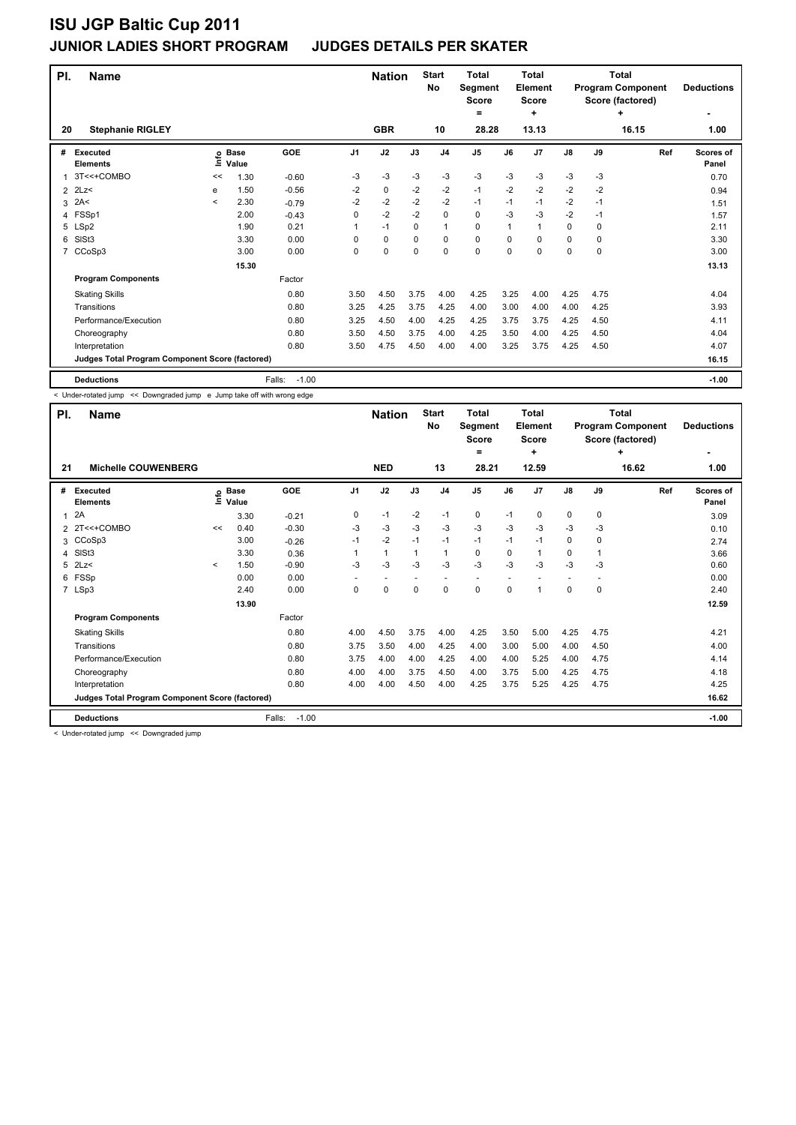| PI. | <b>Name</b>                                     |         |                   |                   |          | <b>Nation</b> |      | <b>Start</b><br><b>No</b> | <b>Total</b><br>Segment<br><b>Score</b><br>= |      | <b>Total</b><br>Element<br>Score<br>÷ |               |      | <b>Total</b><br><b>Program Component</b><br>Score (factored)<br>٠ | <b>Deductions</b>  |
|-----|-------------------------------------------------|---------|-------------------|-------------------|----------|---------------|------|---------------------------|----------------------------------------------|------|---------------------------------------|---------------|------|-------------------------------------------------------------------|--------------------|
| 20  | <b>Stephanie RIGLEY</b>                         |         |                   |                   |          | <b>GBR</b>    |      | 10                        | 28.28                                        |      | 13.13                                 |               |      | 16.15                                                             | 1.00               |
| #   | <b>Executed</b><br><b>Elements</b>              |         | e Base<br>⊆ Value | <b>GOE</b>        | J1       | J2            | J3   | J <sub>4</sub>            | J <sub>5</sub>                               | J6   | J <sub>7</sub>                        | $\mathsf{J}8$ | J9   | Ref                                                               | Scores of<br>Panel |
|     | 3T<<+COMBO                                      | <<      | 1.30              | $-0.60$           | -3       | -3            | $-3$ | $-3$                      | $-3$                                         | $-3$ | $-3$                                  | $-3$          | $-3$ |                                                                   | 0.70               |
| 2   | 2Lz                                             | e       | 1.50              | $-0.56$           | $-2$     | 0             | $-2$ | $-2$                      | $-1$                                         | $-2$ | $-2$                                  | $-2$          | $-2$ |                                                                   | 0.94               |
| 3   | 2A<                                             | $\prec$ | 2.30              | $-0.79$           | $-2$     | $-2$          | $-2$ | $-2$                      | $-1$                                         | $-1$ | $-1$                                  | $-2$          | $-1$ |                                                                   | 1.51               |
|     | 4 FSSp1                                         |         | 2.00              | $-0.43$           | $\Omega$ | $-2$          | $-2$ | $\Omega$                  | 0                                            | -3   | $-3$                                  | $-2$          | -1   |                                                                   | 1.57               |
|     | 5 LSp2                                          |         | 1.90              | 0.21              | 1        | $-1$          | 0    | $\mathbf{1}$              | 0                                            | 1    | $\mathbf{1}$                          | 0             | 0    |                                                                   | 2.11               |
| 6   | SISt <sub>3</sub>                               |         | 3.30              | 0.00              | 0        | $\mathbf 0$   | 0    | $\mathbf 0$               | 0                                            | 0    | 0                                     | 0             | 0    |                                                                   | 3.30               |
|     | CCoSp3                                          |         | 3.00              | 0.00              | 0        | 0             | 0    | $\mathbf 0$               | 0                                            | 0    | 0                                     | 0             | 0    |                                                                   | 3.00               |
|     |                                                 |         | 15.30             |                   |          |               |      |                           |                                              |      |                                       |               |      |                                                                   | 13.13              |
|     | <b>Program Components</b>                       |         |                   | Factor            |          |               |      |                           |                                              |      |                                       |               |      |                                                                   |                    |
|     | <b>Skating Skills</b>                           |         |                   | 0.80              | 3.50     | 4.50          | 3.75 | 4.00                      | 4.25                                         | 3.25 | 4.00                                  | 4.25          | 4.75 |                                                                   | 4.04               |
|     | Transitions                                     |         |                   | 0.80              | 3.25     | 4.25          | 3.75 | 4.25                      | 4.00                                         | 3.00 | 4.00                                  | 4.00          | 4.25 |                                                                   | 3.93               |
|     | Performance/Execution                           |         |                   | 0.80              | 3.25     | 4.50          | 4.00 | 4.25                      | 4.25                                         | 3.75 | 3.75                                  | 4.25          | 4.50 |                                                                   | 4.11               |
|     | Choreography                                    |         |                   | 0.80              | 3.50     | 4.50          | 3.75 | 4.00                      | 4.25                                         | 3.50 | 4.00                                  | 4.25          | 4.50 |                                                                   | 4.04               |
|     | Interpretation                                  |         |                   | 0.80              | 3.50     | 4.75          | 4.50 | 4.00                      | 4.00                                         | 3.25 | 3.75                                  | 4.25          | 4.50 |                                                                   | 4.07               |
|     | Judges Total Program Component Score (factored) |         |                   |                   |          |               |      |                           |                                              |      |                                       |               |      |                                                                   | 16.15              |
|     | <b>Deductions</b>                               |         |                   | $-1.00$<br>Falls: |          |               |      |                           |                                              |      |                                       |               |      |                                                                   | $-1.00$            |

< Under-rotated jump << Downgraded jump e Jump take off with wrong edge

| PI.           | <b>Name</b>                                     |         |                      |                   |                | <b>Nation</b>            |      | <b>Start</b><br>No | <b>Total</b><br>Segment<br><b>Score</b><br>$\equiv$ |          | <b>Total</b><br>Element<br><b>Score</b><br>٠ |                          |             | Total<br><b>Program Component</b><br>Score (factored)<br>٠ | <b>Deductions</b>         |
|---------------|-------------------------------------------------|---------|----------------------|-------------------|----------------|--------------------------|------|--------------------|-----------------------------------------------------|----------|----------------------------------------------|--------------------------|-------------|------------------------------------------------------------|---------------------------|
| 21            | <b>Michelle COUWENBERG</b>                      |         |                      |                   |                | <b>NED</b>               |      | 13                 | 28.21                                               |          | 12.59                                        |                          |             | 16.62                                                      | 1.00                      |
| #             | Executed<br><b>Elements</b>                     | lnfo    | <b>Base</b><br>Value | GOE               | J <sub>1</sub> | J2                       | J3   | J <sub>4</sub>     | J5                                                  | J6       | J7                                           | J8                       | J9          | Ref                                                        | <b>Scores of</b><br>Panel |
| 1             | 2A                                              |         | 3.30                 | $-0.21$           | 0              | $-1$                     | $-2$ | $-1$               | $\mathbf 0$                                         | $-1$     | 0                                            | $\mathbf 0$              | 0           |                                                            | 3.09                      |
| $\mathcal{P}$ | 2T<<+COMBO                                      | <<      | 0.40                 | $-0.30$           | $-3$           | $-3$                     | $-3$ | $-3$               | $-3$                                                | $-3$     | $-3$                                         | $-3$                     | $-3$        |                                                            | 0.10                      |
| 3             | CCoSp3                                          |         | 3.00                 | $-0.26$           | $-1$           | $-2$                     | $-1$ | $-1$               | $-1$                                                | $-1$     | $-1$                                         | 0                        | 0           |                                                            | 2.74                      |
| 4             | SISt <sub>3</sub>                               |         | 3.30                 | 0.36              |                | $\mathbf{1}$             | 1    | $\mathbf 1$        | 0                                                   | 0        |                                              | 0                        | 1           |                                                            | 3.66                      |
| 5             | 2Lz                                             | $\prec$ | 1.50                 | $-0.90$           | $-3$           | $-3$                     | $-3$ | $-3$               | $-3$                                                | $-3$     | $-3$                                         | -3                       | $-3$        |                                                            | 0.60                      |
| 6             | FSSp                                            |         | 0.00                 | 0.00              | ٠              | $\overline{\phantom{a}}$ |      |                    | ٠                                                   |          |                                              | $\overline{\phantom{a}}$ |             |                                                            | 0.00                      |
|               | 7 LSp3                                          |         | 2.40                 | 0.00              | $\Omega$       | 0                        | 0    | 0                  | $\mathbf 0$                                         | $\Omega$ |                                              | 0                        | $\mathbf 0$ |                                                            | 2.40                      |
|               |                                                 |         | 13.90                |                   |                |                          |      |                    |                                                     |          |                                              |                          |             |                                                            | 12.59                     |
|               | <b>Program Components</b>                       |         |                      | Factor            |                |                          |      |                    |                                                     |          |                                              |                          |             |                                                            |                           |
|               | <b>Skating Skills</b>                           |         |                      | 0.80              | 4.00           | 4.50                     | 3.75 | 4.00               | 4.25                                                | 3.50     | 5.00                                         | 4.25                     | 4.75        |                                                            | 4.21                      |
|               | Transitions                                     |         |                      | 0.80              | 3.75           | 3.50                     | 4.00 | 4.25               | 4.00                                                | 3.00     | 5.00                                         | 4.00                     | 4.50        |                                                            | 4.00                      |
|               | Performance/Execution                           |         |                      | 0.80              | 3.75           | 4.00                     | 4.00 | 4.25               | 4.00                                                | 4.00     | 5.25                                         | 4.00                     | 4.75        |                                                            | 4.14                      |
|               | Choreography                                    |         |                      | 0.80              | 4.00           | 4.00                     | 3.75 | 4.50               | 4.00                                                | 3.75     | 5.00                                         | 4.25                     | 4.75        |                                                            | 4.18                      |
|               | Interpretation                                  |         |                      | 0.80              | 4.00           | 4.00                     | 4.50 | 4.00               | 4.25                                                | 3.75     | 5.25                                         | 4.25                     | 4.75        |                                                            | 4.25                      |
|               | Judges Total Program Component Score (factored) |         |                      |                   |                |                          |      |                    |                                                     |          |                                              |                          |             |                                                            | 16.62                     |
|               | <b>Deductions</b>                               |         |                      | $-1.00$<br>Falls: |                |                          |      |                    |                                                     |          |                                              |                          |             |                                                            | $-1.00$                   |

< Under-rotated jump << Downgraded jump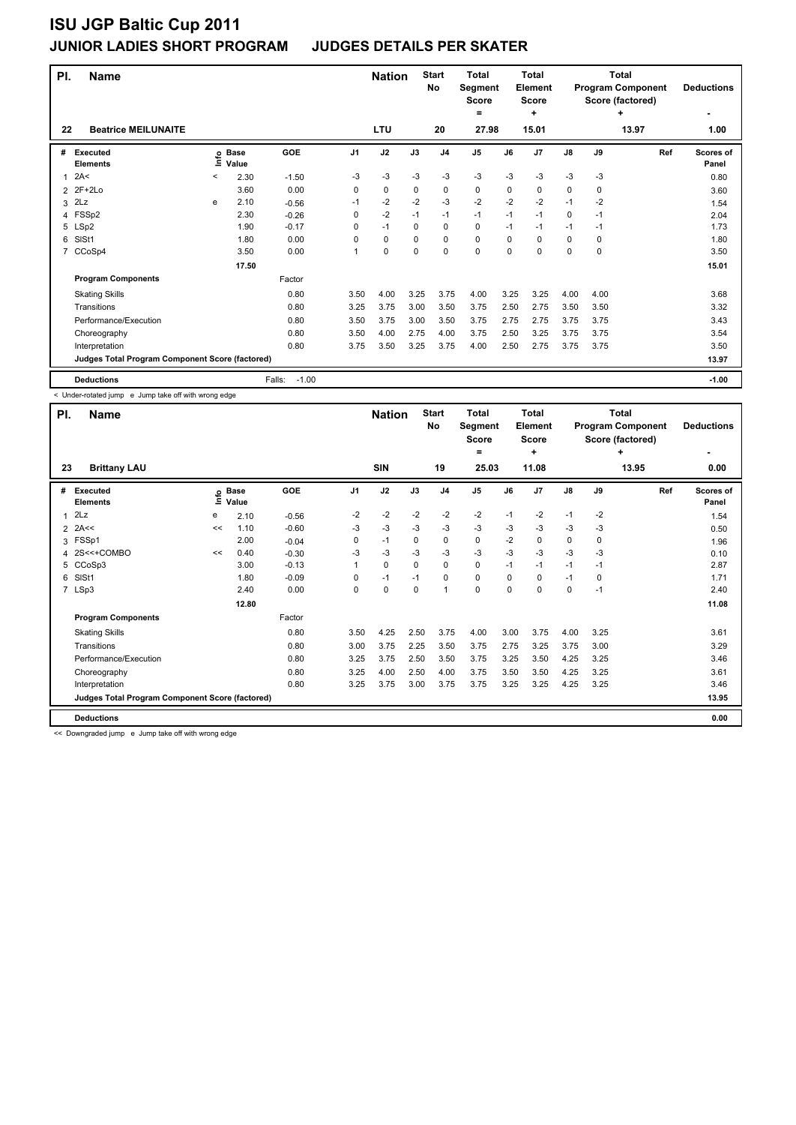| PI.           | <b>Name</b>                                     |         |                 |                   |      | <b>Nation</b> |             | <b>Start</b><br>No | <b>Total</b><br>Segment<br><b>Score</b><br>$=$ |      | Total<br>Element<br><b>Score</b><br>÷ |      |      | <b>Total</b><br><b>Program Component</b><br>Score (factored)<br>٠ | <b>Deductions</b>  |
|---------------|-------------------------------------------------|---------|-----------------|-------------------|------|---------------|-------------|--------------------|------------------------------------------------|------|---------------------------------------|------|------|-------------------------------------------------------------------|--------------------|
| 22            | <b>Beatrice MEILUNAITE</b>                      |         |                 |                   |      | <b>LTU</b>    |             | 20                 | 27.98                                          |      | 15.01                                 |      |      | 13.97                                                             | 1.00               |
| #             | Executed<br><b>Elements</b>                     | έ       | o Base<br>Value | GOE               | J1   | J2            | J3          | J <sub>4</sub>     | J <sub>5</sub>                                 | J6   | J <sub>7</sub>                        | J8   | J9   | Ref                                                               | Scores of<br>Panel |
| 1             | 2A<                                             | $\,<\,$ | 2.30            | $-1.50$           | -3   | $-3$          | $-3$        | $-3$               | $-3$                                           | $-3$ | $-3$                                  | $-3$ | $-3$ |                                                                   | 0.80               |
| $\mathcal{P}$ | $2F+2Lo$                                        |         | 3.60            | 0.00              | 0    | $\mathbf 0$   | 0           | $\mathbf 0$        | 0                                              | 0    | 0                                     | 0    | 0    |                                                                   | 3.60               |
| 3             | 2Lz                                             | e       | 2.10            | $-0.56$           | $-1$ | $-2$          | $-2$        | $-3$               | $-2$                                           | $-2$ | $-2$                                  | $-1$ | $-2$ |                                                                   | 1.54               |
| 4             | FSSp2                                           |         | 2.30            | $-0.26$           | 0    | $-2$          | $-1$        | $-1$               | $-1$                                           | $-1$ | $-1$                                  | 0    | $-1$ |                                                                   | 2.04               |
|               | 5 LSp2                                          |         | 1.90            | $-0.17$           | 0    | $-1$          | 0           | $\mathbf 0$        | 0                                              | $-1$ | $-1$                                  | $-1$ | $-1$ |                                                                   | 1.73               |
| 6             | SIS <sub>t1</sub>                               |         | 1.80            | 0.00              | 0    | 0             | 0           | 0                  | 0                                              | 0    | 0                                     | 0    | 0    |                                                                   | 1.80               |
| 7             | CCoSp4                                          |         | 3.50            | 0.00              | 1    | 0             | $\mathbf 0$ | $\mathbf 0$        | 0                                              | 0    | 0                                     | 0    | 0    |                                                                   | 3.50               |
|               |                                                 |         | 17.50           |                   |      |               |             |                    |                                                |      |                                       |      |      |                                                                   | 15.01              |
|               | <b>Program Components</b>                       |         |                 | Factor            |      |               |             |                    |                                                |      |                                       |      |      |                                                                   |                    |
|               | <b>Skating Skills</b>                           |         |                 | 0.80              | 3.50 | 4.00          | 3.25        | 3.75               | 4.00                                           | 3.25 | 3.25                                  | 4.00 | 4.00 |                                                                   | 3.68               |
|               | Transitions                                     |         |                 | 0.80              | 3.25 | 3.75          | 3.00        | 3.50               | 3.75                                           | 2.50 | 2.75                                  | 3.50 | 3.50 |                                                                   | 3.32               |
|               | Performance/Execution                           |         |                 | 0.80              | 3.50 | 3.75          | 3.00        | 3.50               | 3.75                                           | 2.75 | 2.75                                  | 3.75 | 3.75 |                                                                   | 3.43               |
|               | Choreography                                    |         |                 | 0.80              | 3.50 | 4.00          | 2.75        | 4.00               | 3.75                                           | 2.50 | 3.25                                  | 3.75 | 3.75 |                                                                   | 3.54               |
|               | Interpretation                                  |         |                 | 0.80              | 3.75 | 3.50          | 3.25        | 3.75               | 4.00                                           | 2.50 | 2.75                                  | 3.75 | 3.75 |                                                                   | 3.50               |
|               | Judges Total Program Component Score (factored) |         |                 |                   |      |               |             |                    |                                                |      |                                       |      |      |                                                                   | 13.97              |
|               | <b>Deductions</b>                               |         |                 | $-1.00$<br>Falls: |      |               |             |                    |                                                |      |                                       |      |      |                                                                   | $-1.00$            |

< Under-rotated jump e Jump take off with wrong edge

| PI.          | <b>Name</b>                                     |              |                      |         |                | <b>Nation</b> |             | <b>Start</b><br>No | <b>Total</b><br><b>Segment</b><br><b>Score</b><br>= |          | Total<br>Element<br><b>Score</b><br>٠ |             |      | Total<br><b>Program Component</b><br>Score (factored)<br>٠ | <b>Deductions</b>         |
|--------------|-------------------------------------------------|--------------|----------------------|---------|----------------|---------------|-------------|--------------------|-----------------------------------------------------|----------|---------------------------------------|-------------|------|------------------------------------------------------------|---------------------------|
| 23           | <b>Brittany LAU</b>                             |              |                      |         |                | SIN           |             | 19                 | 25.03                                               |          | 11.08                                 |             |      | 13.95                                                      | 0.00                      |
| #            | Executed<br><b>Elements</b>                     | $\circ$<br>Í | <b>Base</b><br>Value | GOE     | J <sub>1</sub> | J2            | J3          | J <sub>4</sub>     | J <sub>5</sub>                                      | J6       | J <sub>7</sub>                        | J8          | J9   | Ref                                                        | <b>Scores of</b><br>Panel |
| $\mathbf{1}$ | 2Lz                                             | е            | 2.10                 | $-0.56$ | $-2$           | $-2$          | $-2$        | $-2$               | $-2$                                                | $-1$     | $-2$                                  | $-1$        | $-2$ |                                                            | 1.54                      |
|              | $2$ 2A<<                                        | <<           | 1.10                 | $-0.60$ | $-3$           | $-3$          | $-3$        | $-3$               | $-3$                                                | $-3$     | $-3$                                  | $-3$        | $-3$ |                                                            | 0.50                      |
| 3            | FSSp1                                           |              | 2.00                 | $-0.04$ | 0              | $-1$          | 0           | 0                  | 0                                                   | $-2$     | 0                                     | 0           | 0    |                                                            | 1.96                      |
|              | 4 2S<<+COMBO                                    | <<           | 0.40                 | $-0.30$ | $-3$           | $-3$          | $-3$        | $-3$               | $-3$                                                | $-3$     | $-3$                                  | $-3$        | $-3$ |                                                            | 0.10                      |
| 5            | CCoSp3                                          |              | 3.00                 | $-0.13$ | 1              | $\mathbf 0$   | $\Omega$    | 0                  | $\mathbf 0$                                         | $-1$     | $-1$                                  | $-1$        | $-1$ |                                                            | 2.87                      |
| 6            | SIS <sub>t1</sub>                               |              | 1.80                 | $-0.09$ | 0              | $-1$          | $-1$        | 0                  | $\mathbf 0$                                         | $\Omega$ | $\Omega$                              | $-1$        | 0    |                                                            | 1.71                      |
|              | 7 LSp3                                          |              | 2.40                 | 0.00    | 0              | $\mathbf 0$   | $\mathbf 0$ | 1                  | $\mathbf 0$                                         | $\Omega$ | $\Omega$                              | $\mathbf 0$ | $-1$ |                                                            | 2.40                      |
|              |                                                 |              | 12.80                |         |                |               |             |                    |                                                     |          |                                       |             |      |                                                            | 11.08                     |
|              | <b>Program Components</b>                       |              |                      | Factor  |                |               |             |                    |                                                     |          |                                       |             |      |                                                            |                           |
|              | <b>Skating Skills</b>                           |              |                      | 0.80    | 3.50           | 4.25          | 2.50        | 3.75               | 4.00                                                | 3.00     | 3.75                                  | 4.00        | 3.25 |                                                            | 3.61                      |
|              | Transitions                                     |              |                      | 0.80    | 3.00           | 3.75          | 2.25        | 3.50               | 3.75                                                | 2.75     | 3.25                                  | 3.75        | 3.00 |                                                            | 3.29                      |
|              | Performance/Execution                           |              |                      | 0.80    | 3.25           | 3.75          | 2.50        | 3.50               | 3.75                                                | 3.25     | 3.50                                  | 4.25        | 3.25 |                                                            | 3.46                      |
|              | Choreography                                    |              |                      | 0.80    | 3.25           | 4.00          | 2.50        | 4.00               | 3.75                                                | 3.50     | 3.50                                  | 4.25        | 3.25 |                                                            | 3.61                      |
|              | Interpretation                                  |              |                      | 0.80    | 3.25           | 3.75          | 3.00        | 3.75               | 3.75                                                | 3.25     | 3.25                                  | 4.25        | 3.25 |                                                            | 3.46                      |
|              | Judges Total Program Component Score (factored) |              |                      |         |                |               |             |                    |                                                     |          |                                       |             |      |                                                            | 13.95                     |
|              | <b>Deductions</b>                               |              |                      |         |                |               |             |                    |                                                     |          |                                       |             |      |                                                            | 0.00                      |

<< Downgraded jump e Jump take off with wrong edge